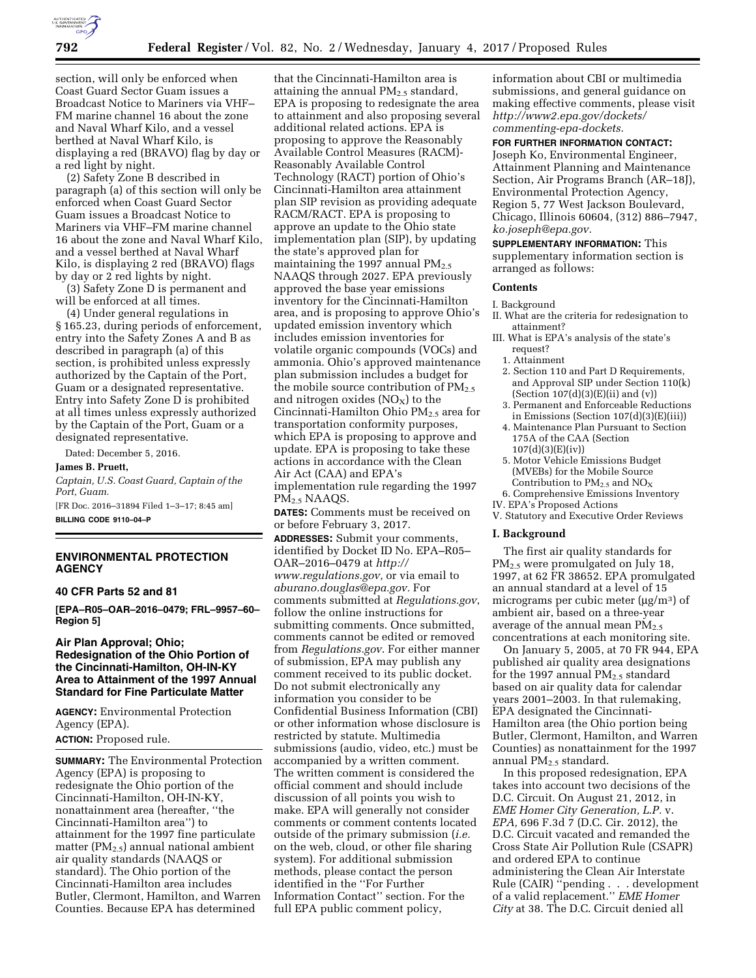

section, will only be enforced when Coast Guard Sector Guam issues a Broadcast Notice to Mariners via VHF– FM marine channel 16 about the zone and Naval Wharf Kilo, and a vessel berthed at Naval Wharf Kilo, is displaying a red (BRAVO) flag by day or a red light by night.

(2) Safety Zone B described in paragraph (a) of this section will only be enforced when Coast Guard Sector Guam issues a Broadcast Notice to Mariners via VHF–FM marine channel 16 about the zone and Naval Wharf Kilo, and a vessel berthed at Naval Wharf Kilo, is displaying 2 red (BRAVO) flags by day or 2 red lights by night.

(3) Safety Zone D is permanent and will be enforced at all times.

(4) Under general regulations in § 165.23, during periods of enforcement, entry into the Safety Zones A and B as described in paragraph (a) of this section, is prohibited unless expressly authorized by the Captain of the Port, Guam or a designated representative. Entry into Safety Zone D is prohibited at all times unless expressly authorized by the Captain of the Port, Guam or a designated representative.

Dated: December 5, 2016.

**James B. Pruett,**  *Captain, U.S. Coast Guard, Captain of the Port, Guam.*  [FR Doc. 2016–31894 Filed 1–3–17; 8:45 am]

**BILLING CODE 9110–04–P** 

# **ENVIRONMENTAL PROTECTION AGENCY**

#### **40 CFR Parts 52 and 81**

**[EPA–R05–OAR–2016–0479; FRL–9957–60– Region 5]** 

# **Air Plan Approval; Ohio; Redesignation of the Ohio Portion of the Cincinnati-Hamilton, OH-IN-KY Area to Attainment of the 1997 Annual Standard for Fine Particulate Matter**

**AGENCY:** Environmental Protection Agency (EPA).

**ACTION:** Proposed rule.

**SUMMARY:** The Environmental Protection Agency (EPA) is proposing to redesignate the Ohio portion of the Cincinnati-Hamilton, OH-IN-KY, nonattainment area (hereafter, ''the Cincinnati-Hamilton area'') to attainment for the 1997 fine particulate matter ( $PM_{2.5}$ ) annual national ambient air quality standards (NAAQS or standard). The Ohio portion of the Cincinnati-Hamilton area includes Butler, Clermont, Hamilton, and Warren Counties. Because EPA has determined

that the Cincinnati-Hamilton area is attaining the annual  $PM_{2.5}$  standard, EPA is proposing to redesignate the area to attainment and also proposing several additional related actions. EPA is proposing to approve the Reasonably Available Control Measures (RACM)- Reasonably Available Control Technology (RACT) portion of Ohio's Cincinnati-Hamilton area attainment plan SIP revision as providing adequate RACM/RACT. EPA is proposing to approve an update to the Ohio state implementation plan (SIP), by updating the state's approved plan for maintaining the 1997 annual  $PM_{2.5}$ NAAQS through 2027. EPA previously approved the base year emissions inventory for the Cincinnati-Hamilton area, and is proposing to approve Ohio's updated emission inventory which includes emission inventories for volatile organic compounds (VOCs) and ammonia. Ohio's approved maintenance plan submission includes a budget for the mobile source contribution of  $PM_{2.5}$ and nitrogen oxides  $(NO<sub>X</sub>)$  to the Cincinnati-Hamilton Ohio PM<sub>2.5</sub> area for transportation conformity purposes, which EPA is proposing to approve and update. EPA is proposing to take these actions in accordance with the Clean Air Act (CAA) and EPA's implementation rule regarding the 1997 PM2.5 NAAQS.

**DATES:** Comments must be received on or before February 3, 2017.

**ADDRESSES:** Submit your comments, identified by Docket ID No. EPA–R05– OAR–2016–0479 at *[http://](http://www.regulations.gov) [www.regulations.gov,](http://www.regulations.gov)* or via email to *[aburano.douglas@epa.gov.](mailto:aburano.douglas@epa.gov)* For comments submitted at *Regulations.gov*, follow the online instructions for submitting comments. Once submitted, comments cannot be edited or removed from *Regulations.gov*. For either manner of submission, EPA may publish any comment received to its public docket. Do not submit electronically any information you consider to be Confidential Business Information (CBI) or other information whose disclosure is restricted by statute. Multimedia submissions (audio, video, etc.) must be accompanied by a written comment. The written comment is considered the official comment and should include discussion of all points you wish to make. EPA will generally not consider comments or comment contents located outside of the primary submission (*i.e.*  on the web, cloud, or other file sharing system). For additional submission methods, please contact the person identified in the ''For Further Information Contact'' section. For the full EPA public comment policy,

information about CBI or multimedia submissions, and general guidance on making effective comments, please visit *[http://www2.epa.gov/dockets/](http://www2.epa.gov/dockets/commenting-epa-dockets)  [commenting-epa-dockets.](http://www2.epa.gov/dockets/commenting-epa-dockets)* 

#### **FOR FURTHER INFORMATION CONTACT:**

Joseph Ko, Environmental Engineer, Attainment Planning and Maintenance Section, Air Programs Branch (AR–18J), Environmental Protection Agency, Region 5, 77 West Jackson Boulevard, Chicago, Illinois 60604, (312) 886–7947, *[ko.joseph@epa.gov.](mailto:ko.joseph@epa.gov)* 

**SUPPLEMENTARY INFORMATION:** This supplementary information section is arranged as follows:

## **Contents**

- I. Background
- II. What are the criteria for redesignation to attainment?
- III. What is EPA's analysis of the state's request?
	- 1. Attainment
	- 2. Section 110 and Part D Requirements, and Approval SIP under Section 110(k) (Section 107(d)(3)(E)(ii) and (v))
	- 3. Permanent and Enforceable Reductions in Emissions (Section 107(d)(3)(E)(iii))
	- 4. Maintenance Plan Pursuant to Section 175A of the CAA (Section 107(d)(3)(E)(iv))
	- 5. Motor Vehicle Emissions Budget (MVEBs) for the Mobile Source Contribution to  $PM_{2.5}$  and  $NO_X$
- 6. Comprehensive Emissions Inventory IV. EPA's Proposed Actions
- V. Statutory and Executive Order Reviews

#### **I. Background**

The first air quality standards for PM<sub>2.5</sub> were promulgated on July 18, 1997, at 62 FR 38652. EPA promulgated an annual standard at a level of 15 micrograms per cubic meter ( $\mu$ g/m<sup>3</sup>) of ambient air, based on a three-year average of the annual mean  $PM_{2.5}$ concentrations at each monitoring site.

On January 5, 2005, at 70 FR 944, EPA published air quality area designations for the 1997 annual  $PM_{2.5}$  standard based on air quality data for calendar years 2001–2003. In that rulemaking, EPA designated the Cincinnati-Hamilton area (the Ohio portion being Butler, Clermont, Hamilton, and Warren Counties) as nonattainment for the 1997 annual  $PM<sub>2.5</sub>$  standard.

In this proposed redesignation, EPA takes into account two decisions of the D.C. Circuit. On August 21, 2012, in *EME Homer City Generation, L.P.* v. *EPA,* 696 F.3d 7 (D.C. Cir. 2012), the D.C. Circuit vacated and remanded the Cross State Air Pollution Rule (CSAPR) and ordered EPA to continue administering the Clean Air Interstate Rule (CAIR) ''pending . . . development of a valid replacement.'' *EME Homer City* at 38. The D.C. Circuit denied all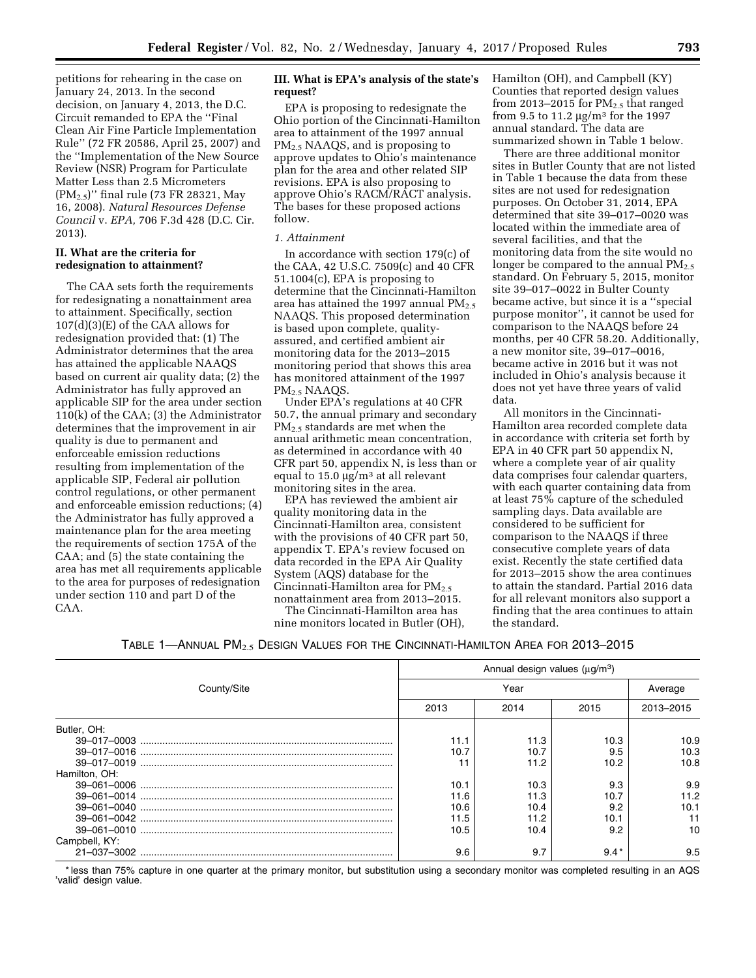petitions for rehearing in the case on January 24, 2013. In the second decision, on January 4, 2013, the D.C. Circuit remanded to EPA the ''Final Clean Air Fine Particle Implementation Rule'' (72 FR 20586, April 25, 2007) and the ''Implementation of the New Source Review (NSR) Program for Particulate Matter Less than 2.5 Micrometers (PM2.5)'' final rule (73 FR 28321, May 16, 2008). *Natural Resources Defense Council* v. *EPA,* 706 F.3d 428 (D.C. Cir. 2013).

## **II. What are the criteria for redesignation to attainment?**

The CAA sets forth the requirements for redesignating a nonattainment area to attainment. Specifically, section 107(d)(3)(E) of the CAA allows for redesignation provided that: (1) The Administrator determines that the area has attained the applicable NAAQS based on current air quality data; (2) the Administrator has fully approved an applicable SIP for the area under section 110(k) of the CAA; (3) the Administrator determines that the improvement in air quality is due to permanent and enforceable emission reductions resulting from implementation of the applicable SIP, Federal air pollution control regulations, or other permanent and enforceable emission reductions; (4) the Administrator has fully approved a maintenance plan for the area meeting the requirements of section 175A of the CAA; and (5) the state containing the area has met all requirements applicable to the area for purposes of redesignation under section 110 and part D of the CAA.

## **III. What is EPA's analysis of the state's request?**

EPA is proposing to redesignate the Ohio portion of the Cincinnati-Hamilton area to attainment of the 1997 annual PM2.5 NAAQS, and is proposing to approve updates to Ohio's maintenance plan for the area and other related SIP revisions. EPA is also proposing to approve Ohio's RACM/RACT analysis. The bases for these proposed actions follow.

### *1. Attainment*

In accordance with section 179(c) of the CAA, 42 U.S.C. 7509(c) and 40 CFR 51.1004(c), EPA is proposing to determine that the Cincinnati-Hamilton area has attained the 1997 annual  $PM_{2.5}$ NAAQS. This proposed determination is based upon complete, qualityassured, and certified ambient air monitoring data for the 2013–2015 monitoring period that shows this area has monitored attainment of the 1997 PM2.5 NAAQS.

Under EPA's regulations at 40 CFR 50.7, the annual primary and secondary PM2.5 standards are met when the annual arithmetic mean concentration, as determined in accordance with 40 CFR part 50, appendix N, is less than or equal to  $15.0 \mu g/m^3$  at all relevant monitoring sites in the area.

EPA has reviewed the ambient air quality monitoring data in the Cincinnati-Hamilton area, consistent with the provisions of 40 CFR part 50, appendix T. EPA's review focused on data recorded in the EPA Air Quality System (AQS) database for the Cincinnati-Hamilton area for  $PM_{2.5}$ nonattainment area from 2013–2015. The Cincinnati-Hamilton area has

nine monitors located in Butler (OH),

Hamilton (OH), and Campbell (KY) Counties that reported design values from 2013–2015 for  $PM_{2.5}$  that ranged from 9.5 to 11.2  $\mu$ g/m<sup>3</sup> for the 1997 annual standard. The data are summarized shown in Table 1 below.

There are three additional monitor sites in Butler County that are not listed in Table 1 because the data from these sites are not used for redesignation purposes. On October 31, 2014, EPA determined that site 39–017–0020 was located within the immediate area of several facilities, and that the monitoring data from the site would no longer be compared to the annual  $PM_{2.5}$ standard. On February 5, 2015, monitor site 39–017–0022 in Bulter County became active, but since it is a ''special purpose monitor'', it cannot be used for comparison to the NAAQS before 24 months, per 40 CFR 58.20. Additionally, a new monitor site, 39–017–0016, became active in 2016 but it was not included in Ohio's analysis because it does not yet have three years of valid data.

All monitors in the Cincinnati-Hamilton area recorded complete data in accordance with criteria set forth by EPA in 40 CFR part 50 appendix N, where a complete year of air quality data comprises four calendar quarters, with each quarter containing data from at least 75% capture of the scheduled sampling days. Data available are considered to be sufficient for comparison to the NAAQS if three consecutive complete years of data exist. Recently the state certified data for 2013–2015 show the area continues to attain the standard. Partial 2016 data for all relevant monitors also support a finding that the area continues to attain the standard.

| TABLE 1—ANNUAL $\mathsf{PM}_{2.5}$ Design Values for the Cincinnati-Hamilton Area for 2013–2015 |  |
|-------------------------------------------------------------------------------------------------|--|
|-------------------------------------------------------------------------------------------------|--|

|                                            | Annual design values $(\mu g/m^3)$ |      |        |           |
|--------------------------------------------|------------------------------------|------|--------|-----------|
| County/Site                                |                                    | Year |        |           |
|                                            | 2013                               | 2014 | 2015   | 2013-2015 |
| Butler, OH:                                |                                    |      |        |           |
|                                            | 11.1                               | 11.3 | 10.3   | 10.9      |
|                                            | 10.7                               | 10.7 | 9.5    | 10.3      |
| 39–017–0019 ……………………………………………………………………………… |                                    | 11.2 | 10.2   | 10.8      |
| Hamilton, OH:                              |                                    |      |        |           |
|                                            | 10.1                               | 10.3 | 9.3    | 9.9       |
|                                            | 11.6                               | 11.3 | 10.7   | 11.2      |
|                                            | 10.6                               | 10.4 | 9.2    | 10.1      |
|                                            | 11.5                               | 11.2 | 10.1   |           |
|                                            | 10.5                               | 10.4 | 9.2    | 10        |
| Campbell, KY:                              |                                    |      |        |           |
|                                            | 9.6                                | 9.7  | $9.4*$ | 9.5       |

\* less than 75% capture in one quarter at the primary monitor, but substitution using a secondary monitor was completed resulting in an AQS 'valid' design value.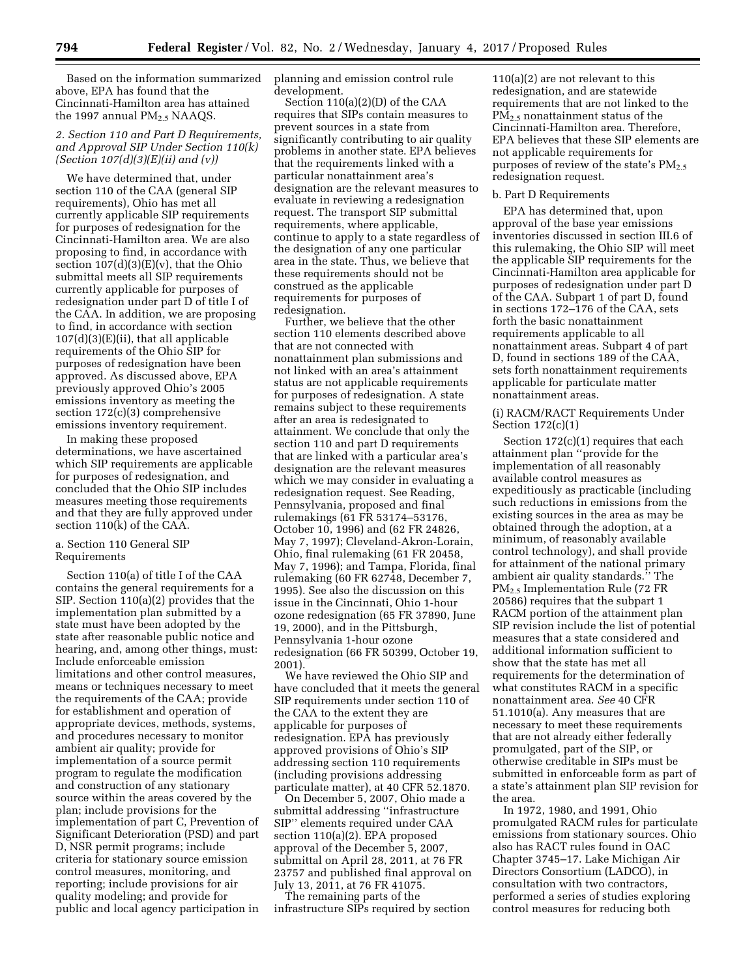Based on the information summarized above, EPA has found that the Cincinnati-Hamilton area has attained the 1997 annual  $PM<sub>2.5</sub> NAAQS$ .

# *2. Section 110 and Part D Requirements, and Approval SIP Under Section 110(k) (Section 107(d)(3)(E)(ii) and (v))*

We have determined that, under section 110 of the CAA (general SIP requirements), Ohio has met all currently applicable SIP requirements for purposes of redesignation for the Cincinnati-Hamilton area. We are also proposing to find, in accordance with section  $107(d)(3)(E)(v)$ , that the Ohio submittal meets all SIP requirements currently applicable for purposes of redesignation under part D of title I of the CAA. In addition, we are proposing to find, in accordance with section  $107(d)(3)(E)(ii)$ , that all applicable requirements of the Ohio SIP for purposes of redesignation have been approved. As discussed above, EPA previously approved Ohio's 2005 emissions inventory as meeting the section 172(c)(3) comprehensive emissions inventory requirement.

In making these proposed determinations, we have ascertained which SIP requirements are applicable for purposes of redesignation, and concluded that the Ohio SIP includes measures meeting those requirements and that they are fully approved under section 110(k) of the CAA.

## a. Section 110 General SIP Requirements

Section 110(a) of title I of the CAA contains the general requirements for a SIP. Section 110(a)(2) provides that the implementation plan submitted by a state must have been adopted by the state after reasonable public notice and hearing, and, among other things, must: Include enforceable emission limitations and other control measures, means or techniques necessary to meet the requirements of the CAA; provide for establishment and operation of appropriate devices, methods, systems, and procedures necessary to monitor ambient air quality; provide for implementation of a source permit program to regulate the modification and construction of any stationary source within the areas covered by the plan; include provisions for the implementation of part C, Prevention of Significant Deterioration (PSD) and part D, NSR permit programs; include criteria for stationary source emission control measures, monitoring, and reporting; include provisions for air quality modeling; and provide for public and local agency participation in

planning and emission control rule development.

Section 110(a)(2)(D) of the CAA requires that SIPs contain measures to prevent sources in a state from significantly contributing to air quality problems in another state. EPA believes that the requirements linked with a particular nonattainment area's designation are the relevant measures to evaluate in reviewing a redesignation request. The transport SIP submittal requirements, where applicable, continue to apply to a state regardless of the designation of any one particular area in the state. Thus, we believe that these requirements should not be construed as the applicable requirements for purposes of redesignation.

Further, we believe that the other section 110 elements described above that are not connected with nonattainment plan submissions and not linked with an area's attainment status are not applicable requirements for purposes of redesignation. A state remains subject to these requirements after an area is redesignated to attainment. We conclude that only the section 110 and part D requirements that are linked with a particular area's designation are the relevant measures which we may consider in evaluating a redesignation request. See Reading, Pennsylvania, proposed and final rulemakings (61 FR 53174–53176, October 10, 1996) and (62 FR 24826, May 7, 1997); Cleveland-Akron-Lorain, Ohio, final rulemaking (61 FR 20458, May 7, 1996); and Tampa, Florida, final rulemaking (60 FR 62748, December 7, 1995). See also the discussion on this issue in the Cincinnati, Ohio 1-hour ozone redesignation (65 FR 37890, June 19, 2000), and in the Pittsburgh, Pennsylvania 1-hour ozone redesignation (66 FR 50399, October 19, 2001).

We have reviewed the Ohio SIP and have concluded that it meets the general SIP requirements under section 110 of the CAA to the extent they are applicable for purposes of redesignation. EPA has previously approved provisions of Ohio's SIP addressing section 110 requirements (including provisions addressing particulate matter), at 40 CFR 52.1870.

On December 5, 2007, Ohio made a submittal addressing ''infrastructure SIP'' elements required under CAA section 110(a)(2). EPA proposed approval of the December 5, 2007, submittal on April 28, 2011, at 76 FR 23757 and published final approval on July 13, 2011, at 76 FR 41075.

The remaining parts of the infrastructure SIPs required by section

110(a)(2) are not relevant to this redesignation, and are statewide requirements that are not linked to the PM2.5 nonattainment status of the Cincinnati-Hamilton area. Therefore, EPA believes that these SIP elements are not applicable requirements for purposes of review of the state's  $PM_{2.5}$ redesignation request.

## b. Part D Requirements

EPA has determined that, upon approval of the base year emissions inventories discussed in section III.6 of this rulemaking, the Ohio SIP will meet the applicable SIP requirements for the Cincinnati-Hamilton area applicable for purposes of redesignation under part D of the CAA. Subpart 1 of part D, found in sections 172–176 of the CAA, sets forth the basic nonattainment requirements applicable to all nonattainment areas. Subpart 4 of part D, found in sections 189 of the CAA, sets forth nonattainment requirements applicable for particulate matter nonattainment areas.

(i) RACM/RACT Requirements Under Section 172(c)(1)

Section 172(c)(1) requires that each attainment plan ''provide for the implementation of all reasonably available control measures as expeditiously as practicable (including such reductions in emissions from the existing sources in the area as may be obtained through the adoption, at a minimum, of reasonably available control technology), and shall provide for attainment of the national primary ambient air quality standards.'' The PM2.5 Implementation Rule (72 FR 20586) requires that the subpart 1 RACM portion of the attainment plan SIP revision include the list of potential measures that a state considered and additional information sufficient to show that the state has met all requirements for the determination of what constitutes RACM in a specific nonattainment area. *See* 40 CFR 51.1010(a). Any measures that are necessary to meet these requirements that are not already either federally promulgated, part of the SIP, or otherwise creditable in SIPs must be submitted in enforceable form as part of a state's attainment plan SIP revision for the area.

In 1972, 1980, and 1991, Ohio promulgated RACM rules for particulate emissions from stationary sources. Ohio also has RACT rules found in OAC Chapter 3745–17. Lake Michigan Air Directors Consortium (LADCO), in consultation with two contractors, performed a series of studies exploring control measures for reducing both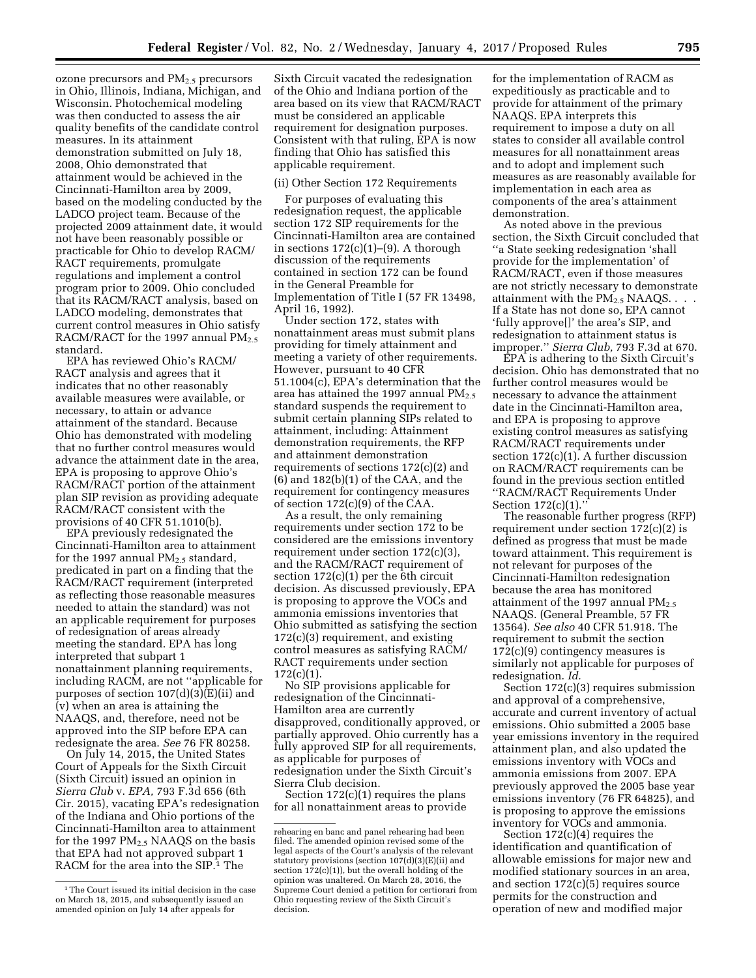ozone precursors and PM2.5 precursors in Ohio, Illinois, Indiana, Michigan, and Wisconsin. Photochemical modeling was then conducted to assess the air quality benefits of the candidate control measures. In its attainment demonstration submitted on July 18, 2008, Ohio demonstrated that attainment would be achieved in the Cincinnati-Hamilton area by 2009, based on the modeling conducted by the LADCO project team. Because of the projected 2009 attainment date, it would not have been reasonably possible or practicable for Ohio to develop RACM/ RACT requirements, promulgate regulations and implement a control program prior to 2009. Ohio concluded that its RACM/RACT analysis, based on LADCO modeling, demonstrates that current control measures in Ohio satisfy RACM/RACT for the 1997 annual  $PM_{2.5}$ standard.

EPA has reviewed Ohio's RACM/ RACT analysis and agrees that it indicates that no other reasonably available measures were available, or necessary, to attain or advance attainment of the standard. Because Ohio has demonstrated with modeling that no further control measures would advance the attainment date in the area, EPA is proposing to approve Ohio's RACM/RACT portion of the attainment plan SIP revision as providing adequate RACM/RACT consistent with the provisions of 40 CFR 51.1010(b).

EPA previously redesignated the Cincinnati-Hamilton area to attainment for the 1997 annual  $PM_{2.5}$  standard, predicated in part on a finding that the RACM/RACT requirement (interpreted as reflecting those reasonable measures needed to attain the standard) was not an applicable requirement for purposes of redesignation of areas already meeting the standard. EPA has long interpreted that subpart 1 nonattainment planning requirements, including RACM, are not ''applicable for purposes of section 107(d)(3)(E)(ii) and (v) when an area is attaining the NAAQS, and, therefore, need not be approved into the SIP before EPA can redesignate the area. *See* 76 FR 80258.

On July 14, 2015, the United States Court of Appeals for the Sixth Circuit (Sixth Circuit) issued an opinion in *Sierra Club* v. *EPA,* 793 F.3d 656 (6th Cir. 2015), vacating EPA's redesignation of the Indiana and Ohio portions of the Cincinnati-Hamilton area to attainment for the 1997  $PM_{2.5}$  NAAQS on the basis that EPA had not approved subpart 1 RACM for the area into the SIP.<sup>1</sup> The

Sixth Circuit vacated the redesignation of the Ohio and Indiana portion of the area based on its view that RACM/RACT must be considered an applicable requirement for designation purposes. Consistent with that ruling, EPA is now finding that Ohio has satisfied this applicable requirement.

### (ii) Other Section 172 Requirements

For purposes of evaluating this redesignation request, the applicable section 172 SIP requirements for the Cincinnati-Hamilton area are contained in sections  $172(c)(1)–(9)$ . A thorough discussion of the requirements contained in section 172 can be found in the General Preamble for Implementation of Title I (57 FR 13498, April 16, 1992).

Under section 172, states with nonattainment areas must submit plans providing for timely attainment and meeting a variety of other requirements. However, pursuant to 40 CFR 51.1004(c), EPA's determination that the area has attained the 1997 annual  $PM_{2.5}$ standard suspends the requirement to submit certain planning SIPs related to attainment, including: Attainment demonstration requirements, the RFP and attainment demonstration requirements of sections 172(c)(2) and (6) and 182(b)(1) of the CAA, and the requirement for contingency measures of section 172(c)(9) of the CAA.

As a result, the only remaining requirements under section 172 to be considered are the emissions inventory requirement under section 172(c)(3), and the RACM/RACT requirement of section 172(c)(1) per the 6th circuit decision. As discussed previously, EPA is proposing to approve the VOCs and ammonia emissions inventories that Ohio submitted as satisfying the section 172(c)(3) requirement, and existing control measures as satisfying RACM/ RACT requirements under section 172(c)(1).

No SIP provisions applicable for redesignation of the Cincinnati-Hamilton area are currently disapproved, conditionally approved, or partially approved. Ohio currently has a fully approved SIP for all requirements, as applicable for purposes of redesignation under the Sixth Circuit's Sierra Club decision.

Section  $172(c)(1)$  requires the plans for all nonattainment areas to provide

for the implementation of RACM as expeditiously as practicable and to provide for attainment of the primary NAAQS. EPA interprets this requirement to impose a duty on all states to consider all available control measures for all nonattainment areas and to adopt and implement such measures as are reasonably available for implementation in each area as components of the area's attainment demonstration.

As noted above in the previous section, the Sixth Circuit concluded that ''a State seeking redesignation 'shall provide for the implementation' of RACM/RACT, even if those measures are not strictly necessary to demonstrate attainment with the  $PM_{2.5}$  NAAQS... If a State has not done so, EPA cannot 'fully approve[]' the area's SIP, and redesignation to attainment status is improper.'' *Sierra Club,* 793 F.3d at 670.

EPA is adhering to the Sixth Circuit's decision. Ohio has demonstrated that no further control measures would be necessary to advance the attainment date in the Cincinnati-Hamilton area, and EPA is proposing to approve existing control measures as satisfying RACM/RACT requirements under section 172(c)(1). A further discussion on RACM/RACT requirements can be found in the previous section entitled ''RACM/RACT Requirements Under Section 172(c)(1).''

The reasonable further progress (RFP) requirement under section 172(c)(2) is defined as progress that must be made toward attainment. This requirement is not relevant for purposes of the Cincinnati-Hamilton redesignation because the area has monitored attainment of the 1997 annual  $PM_{2.5}$ NAAQS. (General Preamble, 57 FR 13564). *See also* 40 CFR 51.918. The requirement to submit the section 172(c)(9) contingency measures is similarly not applicable for purposes of redesignation. *Id.* 

Section 172(c)(3) requires submission and approval of a comprehensive, accurate and current inventory of actual emissions. Ohio submitted a 2005 base year emissions inventory in the required attainment plan, and also updated the emissions inventory with VOCs and ammonia emissions from 2007. EPA previously approved the 2005 base year emissions inventory (76 FR 64825), and is proposing to approve the emissions inventory for VOCs and ammonia.

Section 172(c)(4) requires the identification and quantification of allowable emissions for major new and modified stationary sources in an area, and section  $172(c)(5)$  requires source permits for the construction and operation of new and modified major

<sup>&</sup>lt;sup>1</sup>The Court issued its initial decision in the case on March 18, 2015, and subsequently issued an amended opinion on July 14 after appeals for

rehearing en banc and panel rehearing had been filed. The amended opinion revised some of the legal aspects of the Court's analysis of the relevant statutory provisions (section  $107(d)(3)(E)(ii)$  and section  $172(c)(1)$ ), but the overall holding of the opinion was unaltered. On March 28, 2016, the Supreme Court denied a petition for certiorari from Ohio requesting review of the Sixth Circuit's decision.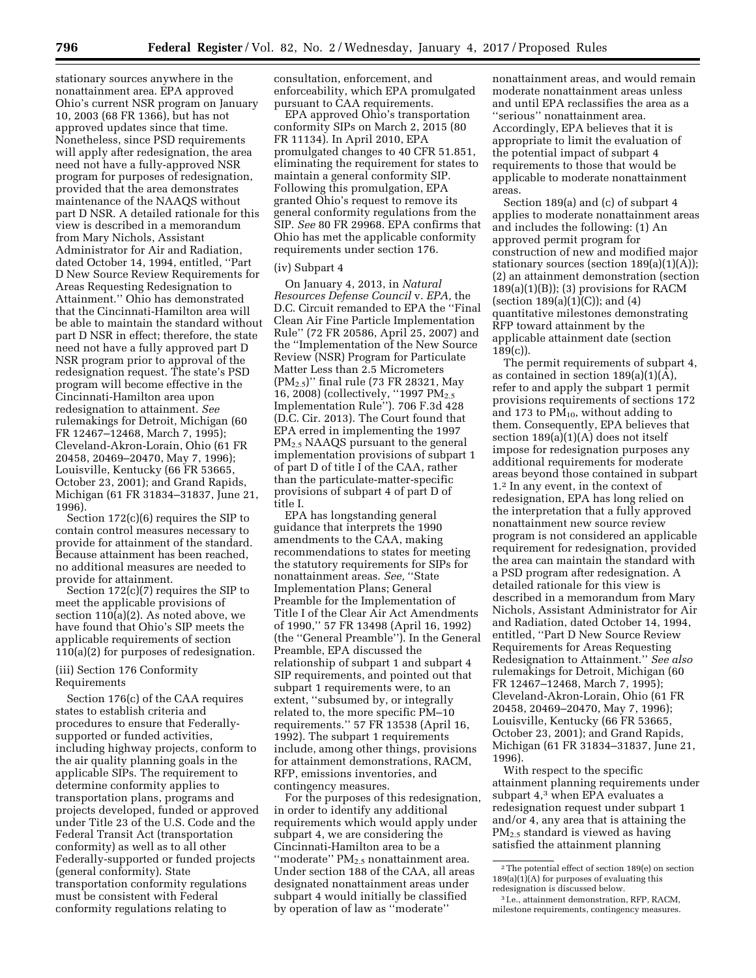stationary sources anywhere in the nonattainment area. EPA approved Ohio's current NSR program on January 10, 2003 (68 FR 1366), but has not approved updates since that time. Nonetheless, since PSD requirements will apply after redesignation, the area need not have a fully-approved NSR program for purposes of redesignation, provided that the area demonstrates maintenance of the NAAQS without part D NSR. A detailed rationale for this view is described in a memorandum from Mary Nichols, Assistant Administrator for Air and Radiation, dated October 14, 1994, entitled, ''Part D New Source Review Requirements for Areas Requesting Redesignation to Attainment.'' Ohio has demonstrated that the Cincinnati-Hamilton area will be able to maintain the standard without part D NSR in effect; therefore, the state need not have a fully approved part D NSR program prior to approval of the redesignation request. The state's PSD program will become effective in the Cincinnati-Hamilton area upon redesignation to attainment. *See*  rulemakings for Detroit, Michigan (60 FR 12467–12468, March 7, 1995); Cleveland-Akron-Lorain, Ohio (61 FR 20458, 20469–20470, May 7, 1996); Louisville, Kentucky (66 FR 53665, October 23, 2001); and Grand Rapids, Michigan (61 FR 31834–31837, June 21, 1996).

Section 172(c)(6) requires the SIP to contain control measures necessary to provide for attainment of the standard. Because attainment has been reached, no additional measures are needed to provide for attainment.

Section 172(c)(7) requires the SIP to meet the applicable provisions of section 110(a)(2). As noted above, we have found that Ohio's SIP meets the applicable requirements of section 110(a)(2) for purposes of redesignation.

# (iii) Section 176 Conformity Requirements

Section 176(c) of the CAA requires states to establish criteria and procedures to ensure that Federallysupported or funded activities, including highway projects, conform to the air quality planning goals in the applicable SIPs. The requirement to determine conformity applies to transportation plans, programs and projects developed, funded or approved under Title 23 of the U.S. Code and the Federal Transit Act (transportation conformity) as well as to all other Federally-supported or funded projects (general conformity). State transportation conformity regulations must be consistent with Federal conformity regulations relating to

consultation, enforcement, and enforceability, which EPA promulgated pursuant to CAA requirements.

EPA approved Ohio's transportation conformity SIPs on March 2, 2015 (80 FR 11134). In April 2010, EPA promulgated changes to 40 CFR 51.851, eliminating the requirement for states to maintain a general conformity SIP. Following this promulgation, EPA granted Ohio's request to remove its general conformity regulations from the SIP. *See* 80 FR 29968. EPA confirms that Ohio has met the applicable conformity requirements under section 176.

### (iv) Subpart 4

On January 4, 2013, in *Natural Resources Defense Council* v. *EPA,* the D.C. Circuit remanded to EPA the ''Final Clean Air Fine Particle Implementation Rule'' (72 FR 20586, April 25, 2007) and the ''Implementation of the New Source Review (NSR) Program for Particulate Matter Less than 2.5 Micrometers (PM2.5)'' final rule (73 FR 28321, May 16, 2008) (collectively, ''1997 PM2.5 Implementation Rule''). 706 F.3d 428 (D.C. Cir. 2013). The Court found that EPA erred in implementing the 1997 PM<sub>2.5</sub> NAAQS pursuant to the general implementation provisions of subpart 1 of part D of title I of the CAA, rather than the particulate-matter-specific provisions of subpart 4 of part D of title I.

EPA has longstanding general guidance that interprets the 1990 amendments to the CAA, making recommendations to states for meeting the statutory requirements for SIPs for nonattainment areas. *See,* ''State Implementation Plans; General Preamble for the Implementation of Title I of the Clear Air Act Amendments of 1990,'' 57 FR 13498 (April 16, 1992) (the ''General Preamble''). In the General Preamble, EPA discussed the relationship of subpart 1 and subpart 4 SIP requirements, and pointed out that subpart 1 requirements were, to an extent, ''subsumed by, or integrally related to, the more specific PM–10 requirements.'' 57 FR 13538 (April 16, 1992). The subpart 1 requirements include, among other things, provisions for attainment demonstrations, RACM, RFP, emissions inventories, and contingency measures.

For the purposes of this redesignation, in order to identify any additional requirements which would apply under subpart 4, we are considering the Cincinnati-Hamilton area to be a "moderate" PM<sub>2.5</sub> nonattainment area. Under section 188 of the CAA, all areas designated nonattainment areas under subpart 4 would initially be classified by operation of law as ''moderate''

nonattainment areas, and would remain moderate nonattainment areas unless and until EPA reclassifies the area as a ''serious'' nonattainment area. Accordingly, EPA believes that it is appropriate to limit the evaluation of the potential impact of subpart 4 requirements to those that would be applicable to moderate nonattainment areas.

Section 189(a) and (c) of subpart 4 applies to moderate nonattainment areas and includes the following: (1) An approved permit program for construction of new and modified major stationary sources (section 189(a)(1)(A)); (2) an attainment demonstration (section  $189(a)(1)(B)$ ; (3) provisions for RACM (section  $189(a)(1)(C)$ ); and  $(4)$ quantitative milestones demonstrating RFP toward attainment by the applicable attainment date (section 189(c)).

The permit requirements of subpart 4, as contained in section 189(a)(1)(A), refer to and apply the subpart 1 permit provisions requirements of sections 172 and 173 to  $PM_{10}$ , without adding to them. Consequently, EPA believes that section 189(a)(1)(A) does not itself impose for redesignation purposes any additional requirements for moderate areas beyond those contained in subpart 1.2 In any event, in the context of redesignation, EPA has long relied on the interpretation that a fully approved nonattainment new source review program is not considered an applicable requirement for redesignation, provided the area can maintain the standard with a PSD program after redesignation. A detailed rationale for this view is described in a memorandum from Mary Nichols, Assistant Administrator for Air and Radiation, dated October 14, 1994, entitled, ''Part D New Source Review Requirements for Areas Requesting Redesignation to Attainment.'' *See also*  rulemakings for Detroit, Michigan (60 FR 12467–12468, March 7, 1995); Cleveland-Akron-Lorain, Ohio (61 FR 20458, 20469–20470, May 7, 1996); Louisville, Kentucky (66 FR 53665, October 23, 2001); and Grand Rapids, Michigan (61 FR 31834–31837, June 21, 1996).

With respect to the specific attainment planning requirements under subpart 4,3 when EPA evaluates a redesignation request under subpart 1 and/or 4, any area that is attaining the PM2.5 standard is viewed as having satisfied the attainment planning

<sup>2</sup>The potential effect of section 189(e) on section 189(a)(1)(A) for purposes of evaluating this redesignation is discussed below.

<sup>3</sup> I.e., attainment demonstration, RFP, RACM, milestone requirements, contingency measures.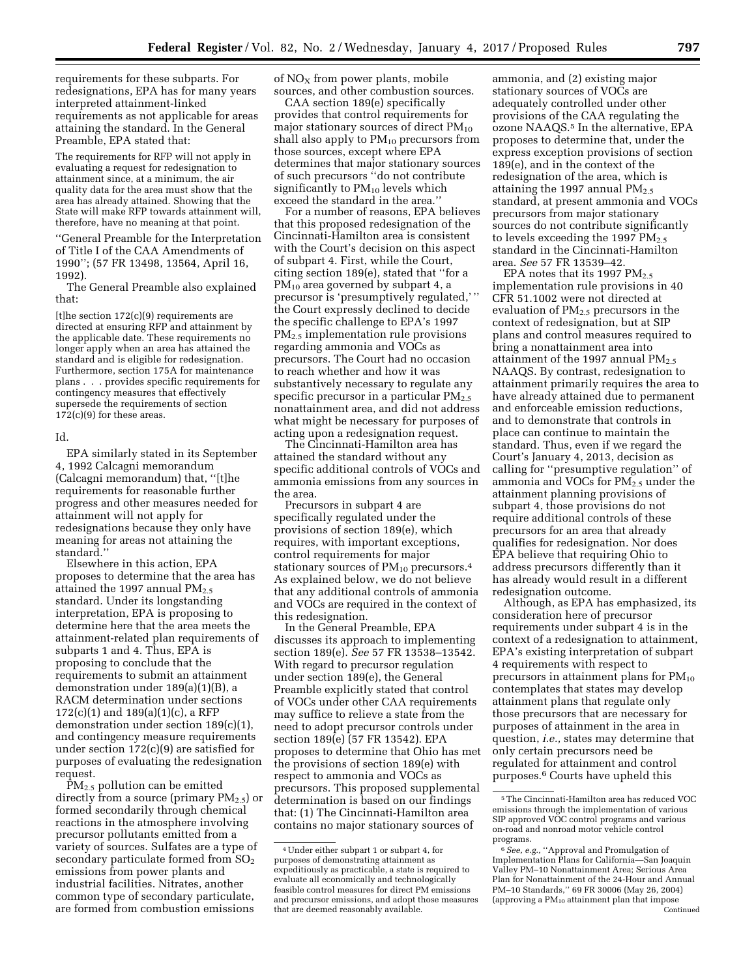requirements for these subparts. For redesignations, EPA has for many years interpreted attainment-linked requirements as not applicable for areas attaining the standard. In the General Preamble, EPA stated that:

The requirements for RFP will not apply in evaluating a request for redesignation to attainment since, at a minimum, the air quality data for the area must show that the area has already attained. Showing that the State will make RFP towards attainment will, therefore, have no meaning at that point.

''General Preamble for the Interpretation of Title I of the CAA Amendments of 1990''; (57 FR 13498, 13564, April 16, 1992).

The General Preamble also explained that:

 $[t]$ he section 172 $(c)(9)$  requirements are directed at ensuring RFP and attainment by the applicable date. These requirements no longer apply when an area has attained the standard and is eligible for redesignation. Furthermore, section 175A for maintenance plans . . . provides specific requirements for contingency measures that effectively supersede the requirements of section  $172(c)(9)$  for these areas.

#### Id.

EPA similarly stated in its September 4, 1992 Calcagni memorandum (Calcagni memorandum) that, ''[t]he requirements for reasonable further progress and other measures needed for attainment will not apply for redesignations because they only have meaning for areas not attaining the standard.''

Elsewhere in this action, EPA proposes to determine that the area has attained the 1997 annual  $PM_{2.5}$ standard. Under its longstanding interpretation, EPA is proposing to determine here that the area meets the attainment-related plan requirements of subparts 1 and 4. Thus, EPA is proposing to conclude that the requirements to submit an attainment demonstration under 189(a)(1)(B), a RACM determination under sections 172(c)(1) and 189(a)(1)(c), a RFP demonstration under section 189(c)(1), and contingency measure requirements under section 172(c)(9) are satisfied for purposes of evaluating the redesignation request.

 $\text{PM}_{2.5}$  pollution can be emitted directly from a source (primary  $PM_{2.5}$ ) or formed secondarily through chemical reactions in the atmosphere involving precursor pollutants emitted from a variety of sources. Sulfates are a type of secondary particulate formed from  $SO<sub>2</sub>$ emissions from power plants and industrial facilities. Nitrates, another common type of secondary particulate, are formed from combustion emissions

of  $NO<sub>x</sub>$  from power plants, mobile sources, and other combustion sources.

CAA section 189(e) specifically provides that control requirements for major stationary sources of direct  $PM_{10}$ shall also apply to  $PM_{10}$  precursors from those sources, except where EPA determines that major stationary sources of such precursors ''do not contribute significantly to  $PM_{10}$  levels which exceed the standard in the area.''

For a number of reasons, EPA believes that this proposed redesignation of the Cincinnati-Hamilton area is consistent with the Court's decision on this aspect of subpart 4. First, while the Court, citing section 189(e), stated that ''for a PM10 area governed by subpart 4, a precursor is 'presumptively regulated,' '' the Court expressly declined to decide the specific challenge to EPA's 1997 PM2.5 implementation rule provisions regarding ammonia and VOCs as precursors. The Court had no occasion to reach whether and how it was substantively necessary to regulate any specific precursor in a particular  $PM_{2.5}$ nonattainment area, and did not address what might be necessary for purposes of acting upon a redesignation request.

The Cincinnati-Hamilton area has attained the standard without any specific additional controls of VOCs and ammonia emissions from any sources in the area.

Precursors in subpart 4 are specifically regulated under the provisions of section 189(e), which requires, with important exceptions, control requirements for major stationary sources of  $PM_{10}$  precursors.<sup>4</sup> As explained below, we do not believe that any additional controls of ammonia and VOCs are required in the context of this redesignation.

In the General Preamble, EPA discusses its approach to implementing section 189(e). *See* 57 FR 13538–13542. With regard to precursor regulation under section 189(e), the General Preamble explicitly stated that control of VOCs under other CAA requirements may suffice to relieve a state from the need to adopt precursor controls under section 189(e) (57 FR 13542). EPA proposes to determine that Ohio has met the provisions of section 189(e) with respect to ammonia and VOCs as precursors. This proposed supplemental determination is based on our findings that: (1) The Cincinnati-Hamilton area contains no major stationary sources of

ammonia, and (2) existing major stationary sources of VOCs are adequately controlled under other provisions of the CAA regulating the ozone NAAQS.5 In the alternative, EPA proposes to determine that, under the express exception provisions of section 189(e), and in the context of the redesignation of the area, which is attaining the 1997 annual  $PM_{2.5}$ standard, at present ammonia and VOCs precursors from major stationary sources do not contribute significantly to levels exceeding the 1997  $PM_{2.5}$ standard in the Cincinnati-Hamilton area. *See* 57 FR 13539–42.

EPA notes that its 1997 PM<sub>2.5</sub> implementation rule provisions in 40 CFR 51.1002 were not directed at evaluation of PM2.5 precursors in the context of redesignation, but at SIP plans and control measures required to bring a nonattainment area into attainment of the 1997 annual  $PM_{2.5}$ NAAQS. By contrast, redesignation to attainment primarily requires the area to have already attained due to permanent and enforceable emission reductions, and to demonstrate that controls in place can continue to maintain the standard. Thus, even if we regard the Court's January 4, 2013, decision as calling for ''presumptive regulation'' of ammonia and VOCs for  $PM_{2.5}$  under the attainment planning provisions of subpart 4, those provisions do not require additional controls of these precursors for an area that already qualifies for redesignation. Nor does EPA believe that requiring Ohio to address precursors differently than it has already would result in a different redesignation outcome.

Although, as EPA has emphasized, its consideration here of precursor requirements under subpart 4 is in the context of a redesignation to attainment, EPA's existing interpretation of subpart 4 requirements with respect to precursors in attainment plans for  $PM_{10}$ contemplates that states may develop attainment plans that regulate only those precursors that are necessary for purposes of attainment in the area in question, *i.e.,* states may determine that only certain precursors need be regulated for attainment and control purposes.6 Courts have upheld this

<sup>4</sup>Under either subpart 1 or subpart 4, for purposes of demonstrating attainment as expeditiously as practicable, a state is required to evaluate all economically and technologically feasible control measures for direct PM emissions and precursor emissions, and adopt those measures that are deemed reasonably available.

<sup>5</sup>The Cincinnati-Hamilton area has reduced VOC emissions through the implementation of various SIP approved VOC control programs and various on-road and nonroad motor vehicle control programs.

<sup>6</sup>*See, e.g.,* ''Approval and Promulgation of Implementation Plans for California—San Joaquin Valley PM–10 Nonattainment Area; Serious Area Plan for Nonattainment of the 24-Hour and Annual PM–10 Standards,'' 69 FR 30006 (May 26, 2004) (approving a  $\mathrm{PM_{10}}$  attainment plan that impose Continued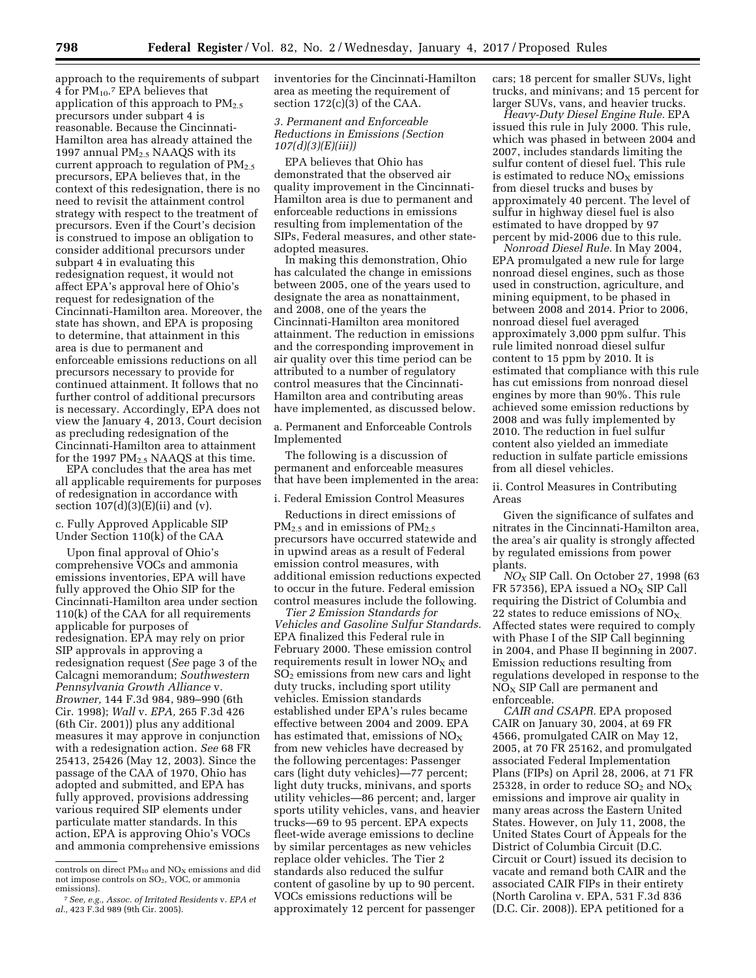approach to the requirements of subpart 4 for  $PM_{10}$ . EPA believes that application of this approach to  $PM_{2,5}$ precursors under subpart 4 is reasonable. Because the Cincinnati-Hamilton area has already attained the 1997 annual  $PM<sub>2.5</sub> NAAQS$  with its current approach to regulation of  $PM_{2,5}$ precursors, EPA believes that, in the context of this redesignation, there is no need to revisit the attainment control strategy with respect to the treatment of precursors. Even if the Court's decision is construed to impose an obligation to consider additional precursors under subpart 4 in evaluating this redesignation request, it would not affect EPA's approval here of Ohio's request for redesignation of the Cincinnati-Hamilton area. Moreover, the state has shown, and EPA is proposing to determine, that attainment in this area is due to permanent and enforceable emissions reductions on all precursors necessary to provide for continued attainment. It follows that no further control of additional precursors is necessary. Accordingly, EPA does not view the January 4, 2013, Court decision as precluding redesignation of the Cincinnati-Hamilton area to attainment for the 1997  $PM_{2.5}$  NAAQS at this time.

EPA concludes that the area has met all applicable requirements for purposes of redesignation in accordance with section  $107(d)(3)(E)(ii)$  and  $(v)$ .

## c. Fully Approved Applicable SIP Under Section 110(k) of the CAA

Upon final approval of Ohio's comprehensive VOCs and ammonia emissions inventories, EPA will have fully approved the Ohio SIP for the Cincinnati-Hamilton area under section 110(k) of the CAA for all requirements applicable for purposes of redesignation. EPA may rely on prior SIP approvals in approving a redesignation request (*See* page 3 of the Calcagni memorandum; *Southwestern Pennsylvania Growth Alliance* v. *Browner,* 144 F.3d 984, 989–990 (6th Cir. 1998); *Wall* v. *EPA,* 265 F.3d 426 (6th Cir. 2001)) plus any additional measures it may approve in conjunction with a redesignation action. *See* 68 FR 25413, 25426 (May 12, 2003). Since the passage of the CAA of 1970, Ohio has adopted and submitted, and EPA has fully approved, provisions addressing various required SIP elements under particulate matter standards. In this action, EPA is approving Ohio's VOCs and ammonia comprehensive emissions

inventories for the Cincinnati-Hamilton area as meeting the requirement of section 172(c)(3) of the CAA.

# *3. Permanent and Enforceable Reductions in Emissions (Section 107(d)(3)(E)(iii))*

EPA believes that Ohio has demonstrated that the observed air quality improvement in the Cincinnati-Hamilton area is due to permanent and enforceable reductions in emissions resulting from implementation of the SIPs, Federal measures, and other stateadopted measures.

In making this demonstration, Ohio has calculated the change in emissions between 2005, one of the years used to designate the area as nonattainment, and 2008, one of the years the Cincinnati-Hamilton area monitored attainment. The reduction in emissions and the corresponding improvement in air quality over this time period can be attributed to a number of regulatory control measures that the Cincinnati-Hamilton area and contributing areas have implemented, as discussed below.

a. Permanent and Enforceable Controls Implemented

The following is a discussion of permanent and enforceable measures that have been implemented in the area:

i. Federal Emission Control Measures

Reductions in direct emissions of  $PM_{2.5}$  and in emissions of  $PM_{2.5}$ precursors have occurred statewide and in upwind areas as a result of Federal emission control measures, with additional emission reductions expected to occur in the future. Federal emission control measures include the following.

*Tier 2 Emission Standards for Vehicles and Gasoline Sulfur Standards.*  EPA finalized this Federal rule in February 2000. These emission control requirements result in lower  $NO<sub>x</sub>$  and  $SO<sub>2</sub>$  emissions from new cars and light duty trucks, including sport utility vehicles. Emission standards established under EPA's rules became effective between 2004 and 2009. EPA has estimated that, emissions of  $NO_X$ from new vehicles have decreased by the following percentages: Passenger cars (light duty vehicles)—77 percent; light duty trucks, minivans, and sports utility vehicles—86 percent; and, larger sports utility vehicles, vans, and heavier trucks—69 to 95 percent. EPA expects fleet-wide average emissions to decline by similar percentages as new vehicles replace older vehicles. The Tier 2 standards also reduced the sulfur content of gasoline by up to 90 percent. VOCs emissions reductions will be approximately 12 percent for passenger

cars; 18 percent for smaller SUVs, light trucks, and minivans; and 15 percent for larger SUVs, vans, and heavier trucks.

*Heavy-Duty Diesel Engine Rule.* EPA issued this rule in July 2000. This rule, which was phased in between 2004 and 2007, includes standards limiting the sulfur content of diesel fuel. This rule is estimated to reduce  $NO<sub>x</sub>$  emissions from diesel trucks and buses by approximately 40 percent. The level of sulfur in highway diesel fuel is also estimated to have dropped by 97 percent by mid-2006 due to this rule.

*Nonroad Diesel Rule.* In May 2004, EPA promulgated a new rule for large nonroad diesel engines, such as those used in construction, agriculture, and mining equipment, to be phased in between 2008 and 2014. Prior to 2006, nonroad diesel fuel averaged approximately 3,000 ppm sulfur. This rule limited nonroad diesel sulfur content to 15 ppm by 2010. It is estimated that compliance with this rule has cut emissions from nonroad diesel engines by more than 90%. This rule achieved some emission reductions by 2008 and was fully implemented by 2010. The reduction in fuel sulfur content also yielded an immediate reduction in sulfate particle emissions from all diesel vehicles.

ii. Control Measures in Contributing Areas

Given the significance of sulfates and nitrates in the Cincinnati-Hamilton area, the area's air quality is strongly affected by regulated emissions from power plants.

*NOX* SIP Call. On October 27, 1998 (63 FR 57356), EPA issued a  $NO<sub>x</sub>$  SIP Call requiring the District of Columbia and 22 states to reduce emissions of  $NO_{X}$ . Affected states were required to comply with Phase I of the SIP Call beginning in 2004, and Phase II beginning in 2007. Emission reductions resulting from regulations developed in response to the  $NO<sub>X</sub>$  SIP Call are permanent and enforceable.

*CAIR and CSAPR.* EPA proposed CAIR on January 30, 2004, at 69 FR 4566, promulgated CAIR on May 12, 2005, at 70 FR 25162, and promulgated associated Federal Implementation Plans (FIPs) on April 28, 2006, at 71 FR 25328, in order to reduce  $SO_2$  and  $NO_X$ emissions and improve air quality in many areas across the Eastern United States. However, on July 11, 2008, the United States Court of Appeals for the District of Columbia Circuit (D.C. Circuit or Court) issued its decision to vacate and remand both CAIR and the associated CAIR FIPs in their entirety (North Carolina v. EPA, 531 F.3d 836 (D.C. Cir. 2008)). EPA petitioned for a

controls on direct  $PM_{10}$  and  $NO<sub>X</sub>$  emissions and did not impose controls on SO<sub>2</sub>, VOC, or ammonia<br>emissions).

emissions). 7*See, e.g., Assoc. of Irritated Residents* v. *EPA et al.,* 423 F.3d 989 (9th Cir. 2005).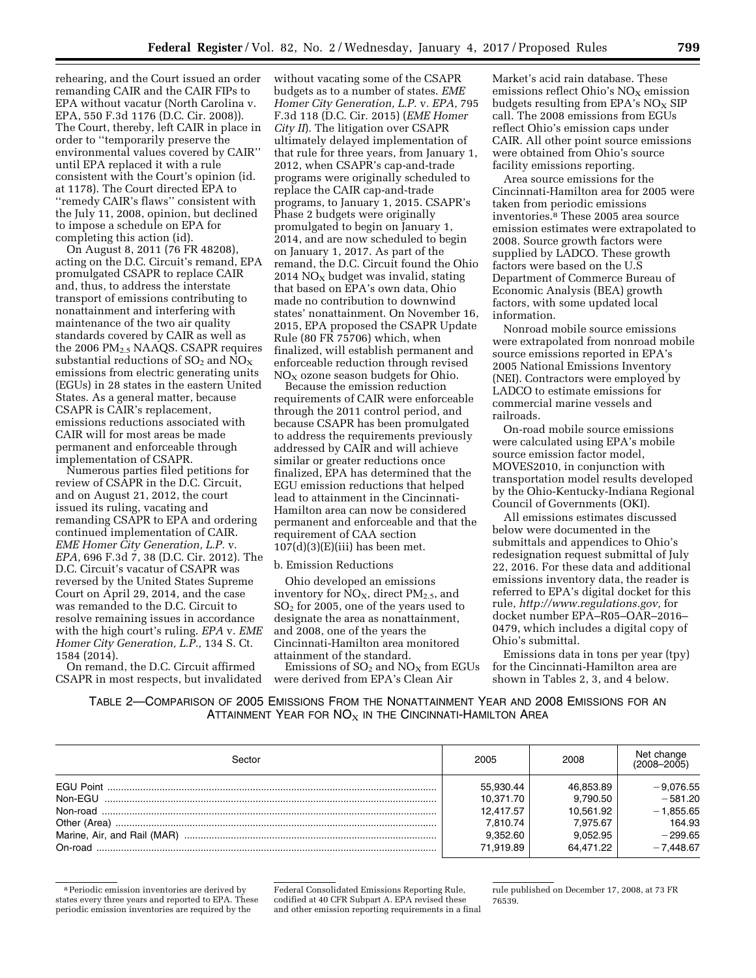rehearing, and the Court issued an order remanding CAIR and the CAIR FIPs to EPA without vacatur (North Carolina v. EPA, 550 F.3d 1176 (D.C. Cir. 2008)). The Court, thereby, left CAIR in place in order to ''temporarily preserve the environmental values covered by CAIR'' until EPA replaced it with a rule consistent with the Court's opinion (id. at 1178). The Court directed EPA to ''remedy CAIR's flaws'' consistent with the July 11, 2008, opinion, but declined to impose a schedule on EPA for completing this action (id).

On August 8, 2011 (76 FR 48208), acting on the D.C. Circuit's remand, EPA promulgated CSAPR to replace CAIR and, thus, to address the interstate transport of emissions contributing to nonattainment and interfering with maintenance of the two air quality standards covered by CAIR as well as the 2006  $PM<sub>2.5</sub> NAAQS$ . CSAPR requires substantial reductions of  $SO_2$  and  $NO_X$ emissions from electric generating units (EGUs) in 28 states in the eastern United States. As a general matter, because CSAPR is CAIR's replacement, emissions reductions associated with CAIR will for most areas be made permanent and enforceable through implementation of CSAPR.

Numerous parties filed petitions for review of CSAPR in the D.C. Circuit, and on August 21, 2012, the court issued its ruling, vacating and remanding CSAPR to EPA and ordering continued implementation of CAIR. *EME Homer City Generation, L.P.* v. *EPA,* 696 F.3d 7, 38 (D.C. Cir. 2012). The D.C. Circuit's vacatur of CSAPR was reversed by the United States Supreme Court on April 29, 2014, and the case was remanded to the D.C. Circuit to resolve remaining issues in accordance with the high court's ruling. *EPA* v. *EME Homer City Generation, L.P.,* 134 S. Ct. 1584 (2014).

On remand, the D.C. Circuit affirmed CSAPR in most respects, but invalidated

without vacating some of the CSAPR budgets as to a number of states. *EME Homer City Generation, L.P.* v. *EPA,* 795 F.3d 118 (D.C. Cir. 2015) (*EME Homer City II*). The litigation over CSAPR ultimately delayed implementation of that rule for three years, from January 1, 2012, when CSAPR's cap-and-trade programs were originally scheduled to replace the CAIR cap-and-trade programs, to January 1, 2015. CSAPR's Phase 2 budgets were originally promulgated to begin on January 1, 2014, and are now scheduled to begin on January 1, 2017. As part of the remand, the D.C. Circuit found the Ohio 2014  $NO<sub>X</sub>$  budget was invalid, stating that based on EPA's own data, Ohio made no contribution to downwind states' nonattainment. On November 16, 2015, EPA proposed the CSAPR Update Rule (80 FR 75706) which, when finalized, will establish permanent and enforceable reduction through revised  $NO<sub>x</sub>$  ozone season budgets for Ohio.

Because the emission reduction requirements of CAIR were enforceable through the 2011 control period, and because CSAPR has been promulgated to address the requirements previously addressed by CAIR and will achieve similar or greater reductions once finalized, EPA has determined that the EGU emission reductions that helped lead to attainment in the Cincinnati-Hamilton area can now be considered permanent and enforceable and that the requirement of CAA section  $107(d)(3)(E)(iii)$  has been met.

#### b. Emission Reductions

Ohio developed an emissions inventory for  $NO<sub>X</sub>$ , direct  $PM<sub>2.5</sub>$ , and SO2 for 2005, one of the years used to designate the area as nonattainment, and 2008, one of the years the Cincinnati-Hamilton area monitored attainment of the standard.

Emissions of  $SO_2$  and  $NO_X$  from EGUs were derived from EPA's Clean Air

Market's acid rain database. These emissions reflect Ohio's  $NO<sub>x</sub>$  emission budgets resulting from EPA's  $NO<sub>x</sub>$  SIP call. The 2008 emissions from EGUs reflect Ohio's emission caps under CAIR. All other point source emissions were obtained from Ohio's source facility emissions reporting.

Area source emissions for the Cincinnati-Hamilton area for 2005 were taken from periodic emissions inventories.8 These 2005 area source emission estimates were extrapolated to 2008. Source growth factors were supplied by LADCO. These growth factors were based on the U.S Department of Commerce Bureau of Economic Analysis (BEA) growth factors, with some updated local information.

Nonroad mobile source emissions were extrapolated from nonroad mobile source emissions reported in EPA's 2005 National Emissions Inventory (NEI). Contractors were employed by LADCO to estimate emissions for commercial marine vessels and railroads.

On-road mobile source emissions were calculated using EPA's mobile source emission factor model, MOVES2010, in conjunction with transportation model results developed by the Ohio-Kentucky-Indiana Regional Council of Governments (OKI).

All emissions estimates discussed below were documented in the submittals and appendices to Ohio's redesignation request submittal of July 22, 2016. For these data and additional emissions inventory data, the reader is referred to EPA's digital docket for this rule, *[http://www.regulations.gov,](http://www.regulations.gov)* for docket number EPA–R05–OAR–2016– 0479, which includes a digital copy of Ohio's submittal.

Emissions data in tons per year (tpy) for the Cincinnati-Hamilton area are shown in Tables 2, 3, and 4 below.

TABLE 2—COMPARISON OF 2005 EMISSIONS FROM THE NONATTAINMENT YEAR AND 2008 EMISSIONS FOR AN ATTAINMENT YEAR FOR  $NO<sub>X</sub>$  in the Cincinnati-Hamilton Area

| Sector  | 2005      | 2008      | Net change<br>$(2008 - 2005)$ |
|---------|-----------|-----------|-------------------------------|
|         | 55.930.44 | 46,853.89 | $-9,076.55$                   |
| Non-FGU | 10.371.70 | 9,790.50  | $-581.20$                     |
|         | 12.417.57 | 10.561.92 | $-1,855.65$                   |
|         | 7.810.74  | 7.975.67  | 164.93                        |
|         | 9,352.60  | 9.052.95  | $-299.65$                     |
| On-road | 71.919.89 | 64.471.22 | $-7.448.67$                   |

<sup>8</sup>Periodic emission inventories are derived by states every three years and reported to EPA. These periodic emission inventories are required by the

Federal Consolidated Emissions Reporting Rule, codified at 40 CFR Subpart A. EPA revised these and other emission reporting requirements in a final rule published on December 17, 2008, at 73 FR 76539.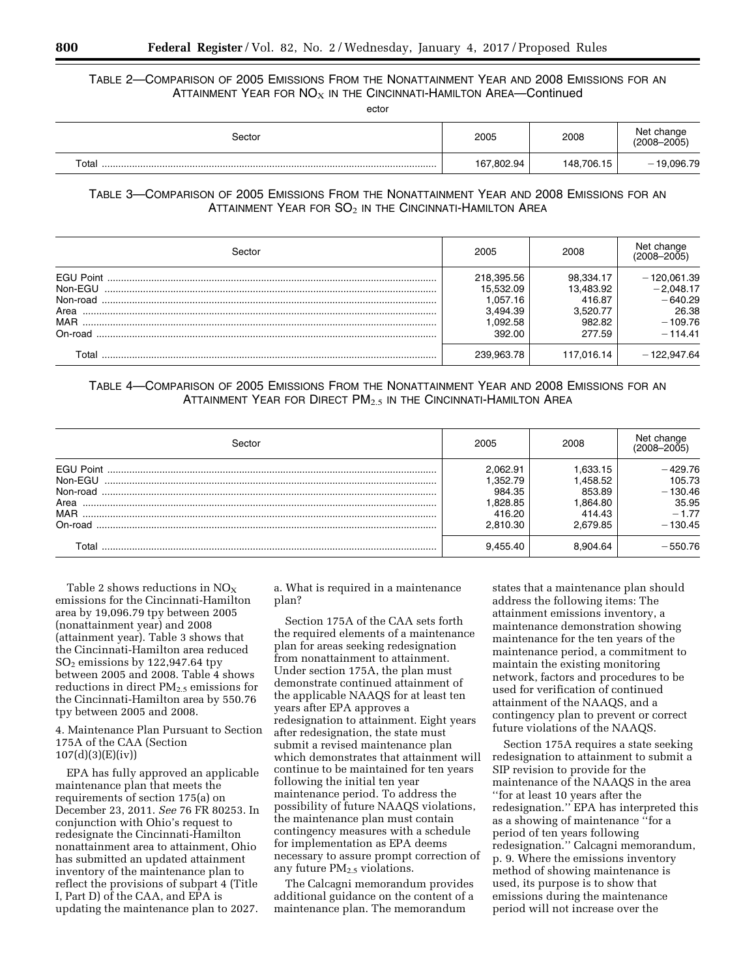TABLE 2—COMPARISON OF 2005 EMISSIONS FROM THE NONATTAINMENT YEAR AND 2008 EMISSIONS FOR AN ATTAINMENT YEAR FOR  $NO<sub>X</sub>$  in the Cincinnati-Hamilton Area-Continued

ector

| Sector | 2005       | 2008       | Net change<br>$(2008 - 2005)$ |
|--------|------------|------------|-------------------------------|
| Total  | 167,802.94 | 148,706.15 | $-19,096.79$                  |

# TABLE 3—COMPARISON OF 2005 EMISSIONS FROM THE NONATTAINMENT YEAR AND 2008 EMISSIONS FOR AN ATTAINMENT YEAR FOR  $SO_2$  in the Cincinnati-Hamilton Area

| Sector           | 2005       | 2008       | Net change<br>$(2008 - 2005)$ |
|------------------|------------|------------|-------------------------------|
| <b>FGU Point</b> | 218.395.56 | 98.334.17  | $-120.061.39$                 |
| Non-FGU          | 15.532.09  | 13.483.92  | $-2.048.17$                   |
| Non-road         | 1.057.16   | 416.87     | $-640.29$                     |
| Area             | 3.494.39   | 3.520.77   | 26.38                         |
| <b>MAR</b>       | .092.58    | 982.82     | $-109.76$                     |
| On-road          | 392.00     | 277.59     | $-114.41$                     |
|                  | 239.963.78 | 117.016.14 | $-122.947.64$                 |

# TABLE 4—COMPARISON OF 2005 EMISSIONS FROM THE NONATTAINMENT YEAR AND 2008 EMISSIONS FOR AN ATTAINMENT YEAR FOR DIRECT PM<sub>2.5</sub> IN THE CINCINNATI-HAMILTON AREA

| Sector     | 2005     | 2008     | Net change<br>(2008-2005) |
|------------|----------|----------|---------------------------|
|            | 2.062.91 | .633.15  | $-429.76$                 |
| Non-EGU    | .352.79  | .458.52  | 105.73                    |
| Non-road   | 984.35   | 853.89   | $-130.46$                 |
| Area       | 828.85   | .864.80  | 35.95                     |
| <b>MAR</b> | 416.20   | 414.43   | $-1.77$                   |
| On-road    | 2.810.30 | 2.679.85 | $-130.45$                 |
| Γotal      | 9.455.40 | 8.904.64 | $-550.76$                 |

Table 2 shows reductions in  $NO<sub>X</sub>$ emissions for the Cincinnati-Hamilton area by 19,096.79 tpy between 2005 (nonattainment year) and 2008 (attainment year). Table 3 shows that the Cincinnati-Hamilton area reduced SO2 emissions by 122,947.64 tpy between 2005 and 2008. Table 4 shows reductions in direct  $PM_{2.5}$  emissions for the Cincinnati-Hamilton area by 550.76 tpy between 2005 and 2008.

## 4. Maintenance Plan Pursuant to Section 175A of the CAA (Section 107(d)(3)(E)(iv))

EPA has fully approved an applicable maintenance plan that meets the requirements of section 175(a) on December 23, 2011. *See* 76 FR 80253. In conjunction with Ohio's request to redesignate the Cincinnati-Hamilton nonattainment area to attainment, Ohio has submitted an updated attainment inventory of the maintenance plan to reflect the provisions of subpart 4 (Title I, Part D) of the CAA, and EPA is updating the maintenance plan to 2027.

a. What is required in a maintenance plan?

Section 175A of the CAA sets forth the required elements of a maintenance plan for areas seeking redesignation from nonattainment to attainment. Under section 175A, the plan must demonstrate continued attainment of the applicable NAAQS for at least ten years after EPA approves a redesignation to attainment. Eight years after redesignation, the state must submit a revised maintenance plan which demonstrates that attainment will continue to be maintained for ten years following the initial ten year maintenance period. To address the possibility of future NAAQS violations, the maintenance plan must contain contingency measures with a schedule for implementation as EPA deems necessary to assure prompt correction of any future  $PM<sub>2.5</sub>$  violations.

The Calcagni memorandum provides additional guidance on the content of a maintenance plan. The memorandum

states that a maintenance plan should address the following items: The attainment emissions inventory, a maintenance demonstration showing maintenance for the ten years of the maintenance period, a commitment to maintain the existing monitoring network, factors and procedures to be used for verification of continued attainment of the NAAQS, and a contingency plan to prevent or correct future violations of the NAAQS.

Section 175A requires a state seeking redesignation to attainment to submit a SIP revision to provide for the maintenance of the NAAQS in the area ''for at least 10 years after the redesignation.'' EPA has interpreted this as a showing of maintenance ''for a period of ten years following redesignation.'' Calcagni memorandum, p. 9. Where the emissions inventory method of showing maintenance is used, its purpose is to show that emissions during the maintenance period will not increase over the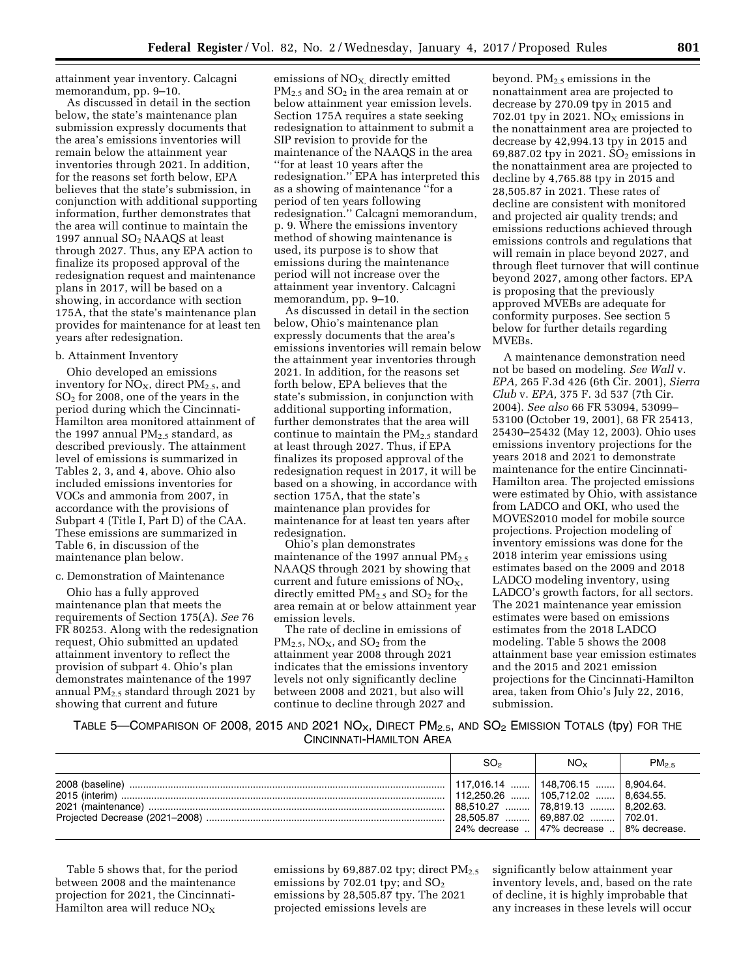attainment year inventory. Calcagni memorandum, pp. 9–10.

As discussed in detail in the section below, the state's maintenance plan submission expressly documents that the area's emissions inventories will remain below the attainment year inventories through 2021. In addition, for the reasons set forth below, EPA believes that the state's submission, in conjunction with additional supporting information, further demonstrates that the area will continue to maintain the 1997 annual SO2 NAAQS at least through 2027. Thus, any EPA action to finalize its proposed approval of the redesignation request and maintenance plans in 2017, will be based on a showing, in accordance with section 175A, that the state's maintenance plan provides for maintenance for at least ten years after redesignation.

#### b. Attainment Inventory

Ohio developed an emissions inventory for  $NO<sub>X</sub>$ , direct  $PM<sub>2.5</sub>$ , and SO2 for 2008, one of the years in the period during which the Cincinnati-Hamilton area monitored attainment of the 1997 annual  $PM<sub>2.5</sub>$  standard, as described previously. The attainment level of emissions is summarized in Tables 2, 3, and 4, above. Ohio also included emissions inventories for VOCs and ammonia from 2007, in accordance with the provisions of Subpart 4 (Title I, Part D) of the CAA. These emissions are summarized in Table 6, in discussion of the maintenance plan below.

#### c. Demonstration of Maintenance

Ohio has a fully approved maintenance plan that meets the requirements of Section 175(A). *See* 76 FR 80253. Along with the redesignation request, Ohio submitted an updated attainment inventory to reflect the provision of subpart 4. Ohio's plan demonstrates maintenance of the 1997 annual  $PM<sub>2.5</sub>$  standard through 2021 by showing that current and future

emissions of NO<sub>X</sub>, directly emitted  $PM_{2.5}$  and  $SO_2$  in the area remain at or below attainment year emission levels. Section 175A requires a state seeking redesignation to attainment to submit a SIP revision to provide for the maintenance of the NAAQS in the area ''for at least 10 years after the redesignation.'' EPA has interpreted this as a showing of maintenance ''for a period of ten years following redesignation.'' Calcagni memorandum, p. 9. Where the emissions inventory method of showing maintenance is used, its purpose is to show that emissions during the maintenance period will not increase over the attainment year inventory. Calcagni memorandum, pp. 9–10.

As discussed in detail in the section below, Ohio's maintenance plan expressly documents that the area's emissions inventories will remain below the attainment year inventories through 2021. In addition, for the reasons set forth below, EPA believes that the state's submission, in conjunction with additional supporting information, further demonstrates that the area will continue to maintain the  $PM_{2.5}$  standard at least through 2027. Thus, if EPA finalizes its proposed approval of the redesignation request in 2017, it will be based on a showing, in accordance with section 175A, that the state's maintenance plan provides for maintenance for at least ten years after redesignation.

Ohio's plan demonstrates maintenance of the 1997 annual  $PM_{2.5}$ NAAQS through 2021 by showing that current and future emissions of  $NO<sub>X</sub>$ , directly emitted  $PM_{2.5}$  and  $SO_2$  for the area remain at or below attainment year emission levels.

The rate of decline in emissions of  $PM_{2.5}$ , NO<sub>x</sub>, and SO<sub>2</sub> from the attainment year 2008 through 2021 indicates that the emissions inventory levels not only significantly decline between 2008 and 2021, but also will continue to decline through 2027 and

beyond. PM2.5 emissions in the nonattainment area are projected to decrease by 270.09 tpy in 2015 and 702.01 tpy in 2021.  $NO<sub>x</sub>$  emissions in the nonattainment area are projected to decrease by 42,994.13 tpy in 2015 and 69,887.02 tpy in 2021. SO<sub>2</sub> emissions in the nonattainment area are projected to decline by 4,765.88 tpy in 2015 and 28,505.87 in 2021. These rates of decline are consistent with monitored and projected air quality trends; and emissions reductions achieved through emissions controls and regulations that will remain in place beyond 2027, and through fleet turnover that will continue beyond 2027, among other factors. EPA is proposing that the previously approved MVEBs are adequate for conformity purposes. See section 5 below for further details regarding MVEBs.

A maintenance demonstration need not be based on modeling. *See Wall* v. *EPA,* 265 F.3d 426 (6th Cir. 2001), *Sierra Club* v. *EPA,* 375 F. 3d 537 (7th Cir. 2004). *See also* 66 FR 53094, 53099– 53100 (October 19, 2001), 68 FR 25413, 25430–25432 (May 12, 2003). Ohio uses emissions inventory projections for the years 2018 and 2021 to demonstrate maintenance for the entire Cincinnati-Hamilton area. The projected emissions were estimated by Ohio, with assistance from LADCO and OKI, who used the MOVES2010 model for mobile source projections. Projection modeling of inventory emissions was done for the 2018 interim year emissions using estimates based on the 2009 and 2018 LADCO modeling inventory, using LADCO's growth factors, for all sectors. The 2021 maintenance year emission estimates were based on emissions estimates from the 2018 LADCO modeling. Table 5 shows the 2008 attainment base year emission estimates and the 2015 and 2021 emission projections for the Cincinnati-Hamilton area, taken from Ohio's July 22, 2016, submission.

# TABLE 5—COMPARISON OF 2008, 2015 AND 2021  $NO_{X}$ , DIRECT  $PM_{2.5}$ , AND  $SO_{2}$  EMISSION TOTALS (tpy) FOR THE CINCINNATI-HAMILTON AREA

| SO <sub>2</sub> | $NO_{Y}$                                                                                                                                                                                              | $PM_{2.5}$ |
|-----------------|-------------------------------------------------------------------------------------------------------------------------------------------------------------------------------------------------------|------------|
|                 | $117,016.14$   148,706.15    8,904.64.<br>$112.250.26$   105.712.02    8.634.55.<br>88.510.27  78.819.13  8.202.63.<br>$28.505.87$ 69.887.02  702.01.<br>24% decrease    47% decrease    8% decrease. |            |

Table 5 shows that, for the period between 2008 and the maintenance projection for 2021, the Cincinnati-Hamilton area will reduce  $NO<sub>X</sub>$ 

emissions by 69,887.02 tpy; direct  $PM_{2.5}$ emissions by  $702.01$  tpy; and  $SO<sub>2</sub>$ emissions by 28,505.87 tpy. The 2021 projected emissions levels are

significantly below attainment year inventory levels, and, based on the rate of decline, it is highly improbable that any increases in these levels will occur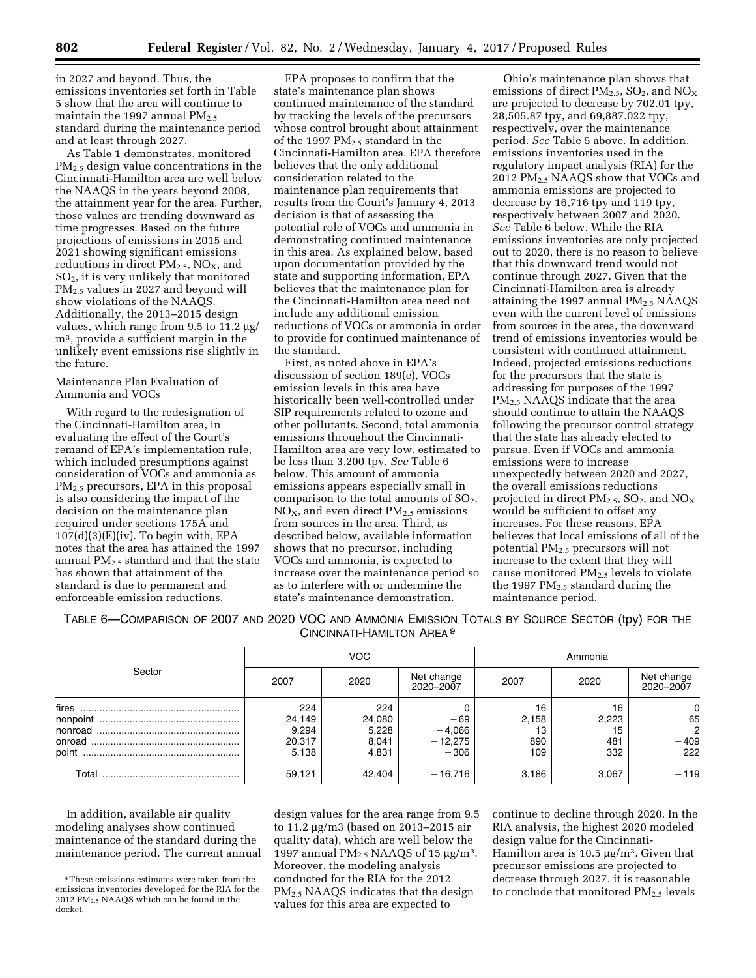in 2027 and beyond. Thus, the emissions inventories set forth in Table 5 show that the area will continue to maintain the 1997 annual  $PM_{2.5}$ standard during the maintenance period and at least through 2027.

As Table 1 demonstrates, monitored PM2.5 design value concentrations in the Cincinnati-Hamilton area are well below the NAAQS in the years beyond 2008, the attainment year for the area. Further, those values are trending downward as time progresses. Based on the future projections of emissions in 2015 and 2021 showing significant emissions reductions in direct  $PM_{2.5}$ , NO<sub>X</sub>, and SO2, it is very unlikely that monitored PM2.5 values in 2027 and beyond will show violations of the NAAQS. Additionally, the 2013–2015 design values, which range from 9.5 to  $11.2 \mu g$ / m3, provide a sufficient margin in the unlikely event emissions rise slightly in the future.

## Maintenance Plan Evaluation of Ammonia and VOCs

With regard to the redesignation of the Cincinnati-Hamilton area, in evaluating the effect of the Court's remand of EPA's implementation rule, which included presumptions against consideration of VOCs and ammonia as PM2.5 precursors, EPA in this proposal is also considering the impact of the decision on the maintenance plan required under sections 175A and  $107(d)(3)(E)(iv)$ . To begin with, EPA notes that the area has attained the 1997 annual  $PM_{2.5}$  standard and that the state has shown that attainment of the standard is due to permanent and enforceable emission reductions.

EPA proposes to confirm that the state's maintenance plan shows continued maintenance of the standard by tracking the levels of the precursors whose control brought about attainment of the 1997  $PM<sub>2.5</sub>$  standard in the Cincinnati-Hamilton area. EPA therefore believes that the only additional consideration related to the maintenance plan requirements that results from the Court's January 4, 2013 decision is that of assessing the potential role of VOCs and ammonia in demonstrating continued maintenance in this area. As explained below, based upon documentation provided by the state and supporting information, EPA believes that the maintenance plan for the Cincinnati-Hamilton area need not include any additional emission reductions of VOCs or ammonia in order to provide for continued maintenance of the standard.

First, as noted above in EPA's discussion of section 189(e), VOCs emission levels in this area have historically been well-controlled under SIP requirements related to ozone and other pollutants. Second, total ammonia emissions throughout the Cincinnati-Hamilton area are very low, estimated to be less than 3,200 tpy. *See* Table 6 below. This amount of ammonia emissions appears especially small in comparison to the total amounts of  $SO<sub>2</sub>$ ,  $NO<sub>x</sub>$ , and even direct  $PM<sub>2.5</sub>$  emissions from sources in the area. Third, as described below, available information shows that no precursor, including VOCs and ammonia, is expected to increase over the maintenance period so as to interfere with or undermine the state's maintenance demonstration.

Ohio's maintenance plan shows that emissions of direct PM<sub>2.5</sub>, SO<sub>2</sub>, and NO<sub>X</sub> are projected to decrease by 702.01 tpy, 28,505.87 tpy, and 69,887.022 tpy, respectively, over the maintenance period. *See* Table 5 above. In addition, emissions inventories used in the regulatory impact analysis (RIA) for the 2012 PM2.5 NAAQS show that VOCs and ammonia emissions are projected to decrease by 16,716 tpy and 119 tpy, respectively between 2007 and 2020. *See* Table 6 below. While the RIA emissions inventories are only projected out to 2020, there is no reason to believe that this downward trend would not continue through 2027. Given that the Cincinnati-Hamilton area is already attaining the 1997 annual  $PM<sub>2.5</sub> NAAQS$ even with the current level of emissions from sources in the area, the downward trend of emissions inventories would be consistent with continued attainment. Indeed, projected emissions reductions for the precursors that the state is addressing for purposes of the 1997 PM2.5 NAAQS indicate that the area should continue to attain the NAAQS following the precursor control strategy that the state has already elected to pursue. Even if VOCs and ammonia emissions were to increase unexpectedly between 2020 and 2027, the overall emissions reductions projected in direct  $PM_{2.5}$ ,  $SO_2$ , and  $NO_X$ would be sufficient to offset any increases. For these reasons, EPA believes that local emissions of all of the potential PM2.5 precursors will not increase to the extent that they will cause monitored  $PM_{2.5}$  levels to violate the 1997  $PM_{2.5}$  standard during the maintenance period.

TABLE 6—COMPARISON OF 2007 AND 2020 VOC AND AMMONIA EMISSION TOTALS BY SOURCE SECTOR (tpy) FOR THE CINCINNATI-HAMILTON AREA 9

|                | VOC.                                      |                                          | Ammonia                                  |                                 |                                 |                                            |
|----------------|-------------------------------------------|------------------------------------------|------------------------------------------|---------------------------------|---------------------------------|--------------------------------------------|
| Sector         | 2007                                      | 2020                                     | Net change<br>2020-2007                  | 2007                            | 2020                            | Net change<br>2020–2007                    |
| fires<br>point | 224<br>24,149<br>9,294<br>20,317<br>5,138 | 224<br>24,080<br>5,228<br>8,041<br>4.831 | $-69$<br>$-4,066$<br>$-12,275$<br>$-306$ | 16<br>2,158<br>13<br>890<br>109 | 16<br>2,223<br>15<br>481<br>332 | 0<br>65<br>$\overline{2}$<br>$-409$<br>222 |
| Total          | 59,121                                    | 42,404                                   | $-16.716$                                | 3,186                           | 3,067                           | $-119$                                     |

In addition, available air quality modeling analyses show continued maintenance of the standard during the maintenance period. The current annual

design values for the area range from 9.5 to  $11.2 \mu$ g/m3 (based on 2013–2015 air quality data), which are well below the 1997 annual  $PM<sub>2.5</sub> NAAQS$  of 15  $\mu$ g/m<sup>3</sup>. Moreover, the modeling analysis conducted for the RIA for the 2012 PM2.5 NAAQS indicates that the design values for this area are expected to

continue to decline through 2020. In the RIA analysis, the highest 2020 modeled design value for the Cincinnati-Hamilton area is 10.5  $\mu$ g/m<sup>3</sup>. Given that precursor emissions are projected to decrease through 2027, it is reasonable to conclude that monitored  $PM_{2.5}$  levels

<sup>9</sup>These emissions estimates were taken from the emissions inventories developed for the RIA for the 2012 PM2.5 NAAQS which can be found in the docket.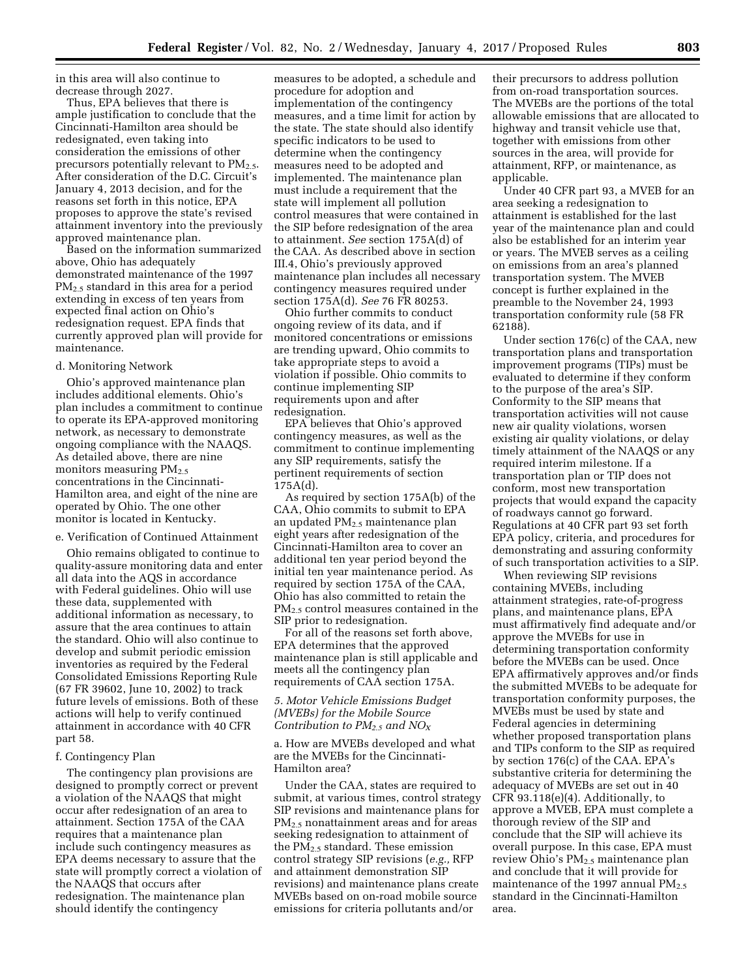in this area will also continue to decrease through 2027.

Thus, EPA believes that there is ample justification to conclude that the Cincinnati-Hamilton area should be redesignated, even taking into consideration the emissions of other precursors potentially relevant to PM<sub>2.5</sub>. After consideration of the D.C. Circuit's January 4, 2013 decision, and for the reasons set forth in this notice, EPA proposes to approve the state's revised attainment inventory into the previously approved maintenance plan.

Based on the information summarized above, Ohio has adequately demonstrated maintenance of the 1997 PM2.5 standard in this area for a period extending in excess of ten years from expected final action on Ohio's redesignation request. EPA finds that currently approved plan will provide for maintenance.

#### d. Monitoring Network

Ohio's approved maintenance plan includes additional elements. Ohio's plan includes a commitment to continue to operate its EPA-approved monitoring network, as necessary to demonstrate ongoing compliance with the NAAQS. As detailed above, there are nine monitors measuring  $PM_{2.5}$ concentrations in the Cincinnati-Hamilton area, and eight of the nine are operated by Ohio. The one other monitor is located in Kentucky.

## e. Verification of Continued Attainment

Ohio remains obligated to continue to quality-assure monitoring data and enter all data into the AQS in accordance with Federal guidelines. Ohio will use these data, supplemented with additional information as necessary, to assure that the area continues to attain the standard. Ohio will also continue to develop and submit periodic emission inventories as required by the Federal Consolidated Emissions Reporting Rule (67 FR 39602, June 10, 2002) to track future levels of emissions. Both of these actions will help to verify continued attainment in accordance with 40 CFR part 58.

#### f. Contingency Plan

The contingency plan provisions are designed to promptly correct or prevent a violation of the NAAQS that might occur after redesignation of an area to attainment. Section 175A of the CAA requires that a maintenance plan include such contingency measures as EPA deems necessary to assure that the state will promptly correct a violation of the NAAQS that occurs after redesignation. The maintenance plan should identify the contingency

measures to be adopted, a schedule and procedure for adoption and implementation of the contingency measures, and a time limit for action by the state. The state should also identify specific indicators to be used to determine when the contingency measures need to be adopted and implemented. The maintenance plan must include a requirement that the state will implement all pollution control measures that were contained in the SIP before redesignation of the area to attainment. *See* section 175A(d) of the CAA. As described above in section III.4, Ohio's previously approved maintenance plan includes all necessary contingency measures required under section 175A(d). *See* 76 FR 80253.

Ohio further commits to conduct ongoing review of its data, and if monitored concentrations or emissions are trending upward, Ohio commits to take appropriate steps to avoid a violation if possible. Ohio commits to continue implementing SIP requirements upon and after redesignation.

EPA believes that Ohio's approved contingency measures, as well as the commitment to continue implementing any SIP requirements, satisfy the pertinent requirements of section 175A(d).

As required by section 175A(b) of the CAA, Ohio commits to submit to EPA an updated PM2.5 maintenance plan eight years after redesignation of the Cincinnati-Hamilton area to cover an additional ten year period beyond the initial ten year maintenance period. As required by section 175A of the CAA, Ohio has also committed to retain the PM<sub>2.5</sub> control measures contained in the SIP prior to redesignation.

For all of the reasons set forth above, EPA determines that the approved maintenance plan is still applicable and meets all the contingency plan requirements of CAA section 175A.

## *5. Motor Vehicle Emissions Budget (MVEBs) for the Mobile Source Contribution to PM2.5 and NOX*

a. How are MVEBs developed and what are the MVEBs for the Cincinnati-Hamilton area?

Under the CAA, states are required to submit, at various times, control strategy SIP revisions and maintenance plans for PM2.5 nonattainment areas and for areas seeking redesignation to attainment of the  $PM_{2.5}$  standard. These emission control strategy SIP revisions (*e.g.,* RFP and attainment demonstration SIP revisions) and maintenance plans create MVEBs based on on-road mobile source emissions for criteria pollutants and/or

their precursors to address pollution from on-road transportation sources. The MVEBs are the portions of the total allowable emissions that are allocated to highway and transit vehicle use that, together with emissions from other sources in the area, will provide for attainment, RFP, or maintenance, as applicable.

Under 40 CFR part 93, a MVEB for an area seeking a redesignation to attainment is established for the last year of the maintenance plan and could also be established for an interim year or years. The MVEB serves as a ceiling on emissions from an area's planned transportation system. The MVEB concept is further explained in the preamble to the November 24, 1993 transportation conformity rule (58 FR 62188).

Under section 176(c) of the CAA, new transportation plans and transportation improvement programs (TIPs) must be evaluated to determine if they conform to the purpose of the area's SIP. Conformity to the SIP means that transportation activities will not cause new air quality violations, worsen existing air quality violations, or delay timely attainment of the NAAQS or any required interim milestone. If a transportation plan or TIP does not conform, most new transportation projects that would expand the capacity of roadways cannot go forward. Regulations at 40 CFR part 93 set forth EPA policy, criteria, and procedures for demonstrating and assuring conformity of such transportation activities to a SIP.

When reviewing SIP revisions containing MVEBs, including attainment strategies, rate-of-progress plans, and maintenance plans, EPA must affirmatively find adequate and/or approve the MVEBs for use in determining transportation conformity before the MVEBs can be used. Once EPA affirmatively approves and/or finds the submitted MVEBs to be adequate for transportation conformity purposes, the MVEBs must be used by state and Federal agencies in determining whether proposed transportation plans and TIPs conform to the SIP as required by section 176(c) of the CAA. EPA's substantive criteria for determining the adequacy of MVEBs are set out in 40 CFR 93.118(e)(4). Additionally, to approve a MVEB, EPA must complete a thorough review of the SIP and conclude that the SIP will achieve its overall purpose. In this case, EPA must review Ohio's PM<sub>2.5</sub> maintenance plan and conclude that it will provide for maintenance of the 1997 annual  $PM_{2.5}$ standard in the Cincinnati-Hamilton area.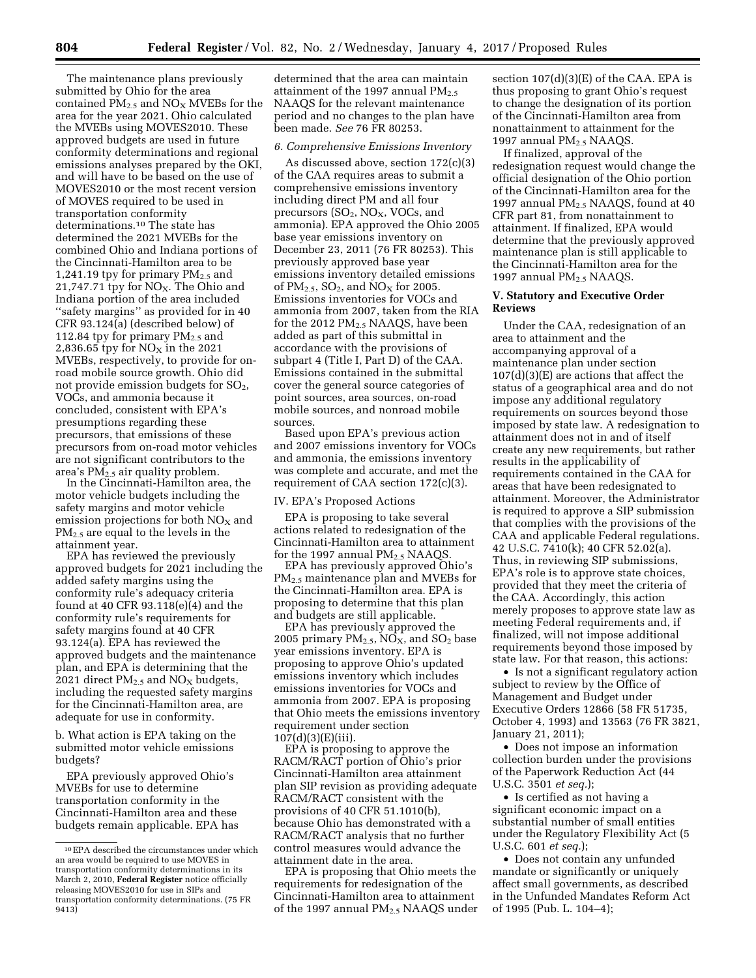The maintenance plans previously submitted by Ohio for the area contained  $PM_{2.5}$  and  $NO_X$  MVEBs for the area for the year 2021. Ohio calculated the MVEBs using MOVES2010. These approved budgets are used in future conformity determinations and regional emissions analyses prepared by the OKI, and will have to be based on the use of MOVES2010 or the most recent version of MOVES required to be used in transportation conformity determinations.10 The state has determined the 2021 MVEBs for the combined Ohio and Indiana portions of the Cincinnati-Hamilton area to be 1,241.19 tpy for primary  $PM_{2.5}$  and 21,747.71 tpy for  $NO<sub>X</sub>$ . The Ohio and Indiana portion of the area included ''safety margins'' as provided for in 40 CFR 93.124(a) (described below) of 112.84 tpy for primary  $PM_{2.5}$  and 2,836.65 tpy for  $NO<sub>x</sub>$  in the 2021 MVEBs, respectively, to provide for onroad mobile source growth. Ohio did not provide emission budgets for  $SO<sub>2</sub>$ , VOCs, and ammonia because it concluded, consistent with EPA's presumptions regarding these precursors, that emissions of these precursors from on-road motor vehicles are not significant contributors to the area's  $PM_{2.5}$  air quality problem.

In the Cincinnati-Hamilton area, the motor vehicle budgets including the safety margins and motor vehicle emission projections for both  $NO<sub>x</sub>$  and PM2.5 are equal to the levels in the attainment year.

EPA has reviewed the previously approved budgets for 2021 including the added safety margins using the conformity rule's adequacy criteria found at 40 CFR 93.118(e)(4) and the conformity rule's requirements for safety margins found at 40 CFR 93.124(a). EPA has reviewed the approved budgets and the maintenance plan, and EPA is determining that the 2021 direct  $PM_{2.5}$  and  $NO_X$  budgets, including the requested safety margins for the Cincinnati-Hamilton area, are adequate for use in conformity.

b. What action is EPA taking on the submitted motor vehicle emissions budgets?

EPA previously approved Ohio's MVEBs for use to determine transportation conformity in the Cincinnati-Hamilton area and these budgets remain applicable. EPA has

determined that the area can maintain attainment of the 1997 annual  $PM<sub>2.5</sub>$ NAAQS for the relevant maintenance period and no changes to the plan have been made. *See* 76 FR 80253.

# *6. Comprehensive Emissions Inventory*

As discussed above, section 172(c)(3) of the CAA requires areas to submit a comprehensive emissions inventory including direct PM and all four precursors  $(SO_2, NO_X, VOCs, and$ ammonia). EPA approved the Ohio 2005 base year emissions inventory on December 23, 2011 (76 FR 80253). This previously approved base year emissions inventory detailed emissions of  $PM_{2.5}$ ,  $SO_2$ , and  $NO<sub>X</sub>$  for 2005. Emissions inventories for VOCs and ammonia from 2007, taken from the RIA for the 2012 PM2.5 NAAQS, have been added as part of this submittal in accordance with the provisions of subpart 4 (Title I, Part D) of the CAA. Emissions contained in the submittal cover the general source categories of point sources, area sources, on-road mobile sources, and nonroad mobile sources.

Based upon EPA's previous action and 2007 emissions inventory for VOCs and ammonia, the emissions inventory was complete and accurate, and met the requirement of CAA section 172(c)(3).

#### IV. EPA's Proposed Actions

EPA is proposing to take several actions related to redesignation of the Cincinnati-Hamilton area to attainment for the 1997 annual  $PM_{2.5}$  NAAQS.

EPA has previously approved Ohio's PM<sub>2.5</sub> maintenance plan and MVEBs for the Cincinnati-Hamilton area. EPA is proposing to determine that this plan and budgets are still applicable.

EPA has previously approved the 2005 primary  $PM<sub>2.5</sub>$ , NO<sub>X</sub>, and SO<sub>2</sub> base year emissions inventory. EPA is proposing to approve Ohio's updated emissions inventory which includes emissions inventories for VOCs and ammonia from 2007. EPA is proposing that Ohio meets the emissions inventory requirement under section 107(d)(3)(E)(iii).

EPA is proposing to approve the RACM/RACT portion of Ohio's prior Cincinnati-Hamilton area attainment plan SIP revision as providing adequate RACM/RACT consistent with the provisions of 40 CFR 51.1010(b), because Ohio has demonstrated with a RACM/RACT analysis that no further control measures would advance the attainment date in the area.

EPA is proposing that Ohio meets the requirements for redesignation of the Cincinnati-Hamilton area to attainment of the 1997 annual PM2.5 NAAQS under

section 107(d)(3)(E) of the CAA. EPA is thus proposing to grant Ohio's request to change the designation of its portion of the Cincinnati-Hamilton area from nonattainment to attainment for the 1997 annual PM<sub>2.5</sub> NAAQS.

If finalized, approval of the redesignation request would change the official designation of the Ohio portion of the Cincinnati-Hamilton area for the 1997 annual PM2.5 NAAQS, found at 40 CFR part 81, from nonattainment to attainment. If finalized, EPA would determine that the previously approved maintenance plan is still applicable to the Cincinnati-Hamilton area for the 1997 annual PM2.5 NAAQS.

## **V. Statutory and Executive Order Reviews**

Under the CAA, redesignation of an area to attainment and the accompanying approval of a maintenance plan under section  $107(d)(3)(E)$  are actions that affect the status of a geographical area and do not impose any additional regulatory requirements on sources beyond those imposed by state law. A redesignation to attainment does not in and of itself create any new requirements, but rather results in the applicability of requirements contained in the CAA for areas that have been redesignated to attainment. Moreover, the Administrator is required to approve a SIP submission that complies with the provisions of the CAA and applicable Federal regulations. 42 U.S.C. 7410(k); 40 CFR 52.02(a). Thus, in reviewing SIP submissions, EPA's role is to approve state choices, provided that they meet the criteria of the CAA. Accordingly, this action merely proposes to approve state law as meeting Federal requirements and, if finalized, will not impose additional requirements beyond those imposed by state law. For that reason, this actions:

• Is not a significant regulatory action subject to review by the Office of Management and Budget under Executive Orders 12866 (58 FR 51735, October 4, 1993) and 13563 (76 FR 3821, January 21, 2011);

• Does not impose an information collection burden under the provisions of the Paperwork Reduction Act (44 U.S.C. 3501 *et seq.*);

• Is certified as not having a significant economic impact on a substantial number of small entities under the Regulatory Flexibility Act (5 U.S.C. 601 *et seq.*);

• Does not contain any unfunded mandate or significantly or uniquely affect small governments, as described in the Unfunded Mandates Reform Act of 1995 (Pub. L. 104–4);

<sup>10</sup>EPA described the circumstances under which an area would be required to use MOVES in transportation conformity determinations in its March 2, 2010, **Federal Register** notice officially releasing MOVES2010 for use in SIPs and transportation conformity determinations. (75 FR 9413)